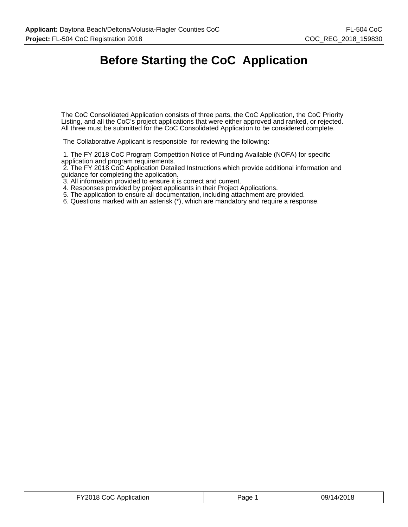# **Before Starting the CoC Application**

The CoC Consolidated Application consists of three parts, the CoC Application, the CoC Priority Listing, and all the CoC's project applications that were either approved and ranked, or rejected. All three must be submitted for the CoC Consolidated Application to be considered complete.

The Collaborative Applicant is responsible for reviewing the following:

 1. The FY 2018 CoC Program Competition Notice of Funding Available (NOFA) for specific application and program requirements.

 2. The FY 2018 CoC Application Detailed Instructions which provide additional information and guidance for completing the application.

3. All information provided to ensure it is correct and current.

4. Responses provided by project applicants in their Project Applications.

5. The application to ensure all documentation, including attachment are provided.

6. Questions marked with an asterisk (\*), which are mandatory and require a response.

| FY2018 CoC Application | Page | 09/14/2018 |
|------------------------|------|------------|
|------------------------|------|------------|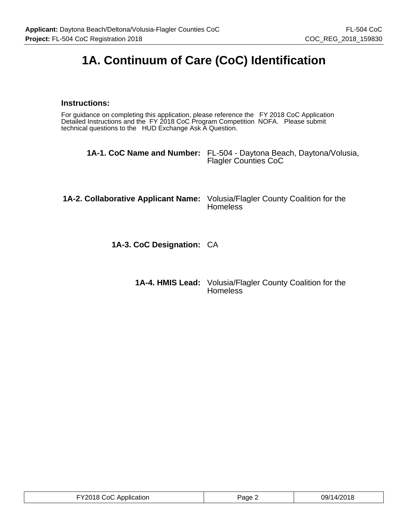# **1A. Continuum of Care (CoC) Identification**

## **Instructions:**

For guidance on completing this application, please reference the FY 2018 CoC Application Detailed Instructions and the FY 2018 CoC Program Competition NOFA. Please submit technical questions to the HUD Exchange Ask A Question.

| <b>1A-1. CoC Name and Number:</b> FL-504 - Daytona Beach, Daytona/Volusia, | <b>Flagler Counties CoC</b> |
|----------------------------------------------------------------------------|-----------------------------|
|----------------------------------------------------------------------------|-----------------------------|

| 1A-2. Collaborative Applicant Name: Volusia/Flagler County Coalition for the<br>Homeless |
|------------------------------------------------------------------------------------------|
|                                                                                          |
|                                                                                          |

**1A-3. CoC Designation:** CA

| <b>1A-4. HMIS Lead:</b> Volusia/Flagler County Coalition for the |
|------------------------------------------------------------------|
| <b>Homeless</b>                                                  |

| FY2018 CoC Application | Page 2 | 09/14/2018 |
|------------------------|--------|------------|
|------------------------|--------|------------|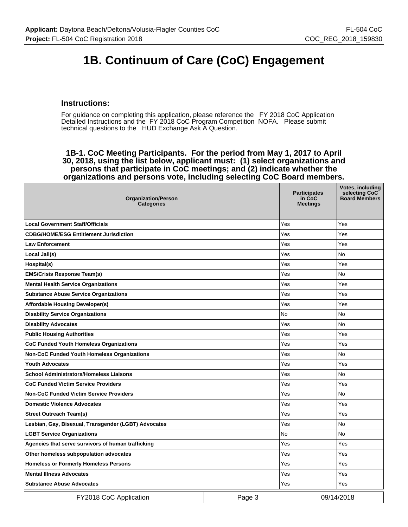# **1B. Continuum of Care (CoC) Engagement**

#### **Instructions:**

For guidance on completing this application, please reference the FY 2018 CoC Application Detailed Instructions and the FY 2018 CoC Program Competition NOFA. Please submit technical questions to the HUD Exchange Ask A Question.

**1B-1. CoC Meeting Participants. For the period from May 1, 2017 to April 30, 2018, using the list below, applicant must: (1) select organizations and persons that participate in CoC meetings; and (2) indicate whether the organizations and persons vote, including selecting CoC Board members.**

| <b>Organization/Person</b><br><b>Categories</b>      |        | <b>Participates</b><br>in CoC<br><b>Meetings</b> | Votes, including<br>selecting CoC<br><b>Board Members</b> |
|------------------------------------------------------|--------|--------------------------------------------------|-----------------------------------------------------------|
| <b>Local Government Staff/Officials</b>              |        | Yes                                              | Yes                                                       |
| <b>CDBG/HOME/ESG Entitlement Jurisdiction</b>        |        | Yes                                              | Yes                                                       |
| <b>Law Enforcement</b>                               |        | Yes                                              | Yes                                                       |
| Local Jail(s)                                        |        | Yes                                              | No                                                        |
| Hospital(s)                                          |        | Yes                                              | Yes                                                       |
| <b>EMS/Crisis Response Team(s)</b>                   |        | Yes                                              | <b>No</b>                                                 |
| <b>Mental Health Service Organizations</b>           |        | Yes                                              | Yes                                                       |
| <b>Substance Abuse Service Organizations</b>         |        | Yes                                              | Yes                                                       |
| <b>Affordable Housing Developer(s)</b>               |        | Yes                                              | Yes                                                       |
| <b>Disability Service Organizations</b>              |        | No                                               | No                                                        |
| <b>Disability Advocates</b>                          |        | Yes                                              | <b>No</b>                                                 |
| <b>Public Housing Authorities</b>                    |        | Yes                                              | Yes                                                       |
| <b>CoC Funded Youth Homeless Organizations</b>       |        | Yes                                              | Yes                                                       |
| <b>Non-CoC Funded Youth Homeless Organizations</b>   |        | Yes                                              | No                                                        |
| <b>Youth Advocates</b>                               |        | Yes                                              | Yes                                                       |
| <b>School Administrators/Homeless Liaisons</b>       |        | Yes                                              | No                                                        |
| <b>CoC Funded Victim Service Providers</b>           |        | Yes                                              | Yes                                                       |
| <b>Non-CoC Funded Victim Service Providers</b>       |        | Yes                                              | No                                                        |
| <b>Domestic Violence Advocates</b>                   |        | Yes                                              | Yes                                                       |
| <b>Street Outreach Team(s)</b>                       |        | Yes                                              | Yes                                                       |
| Lesbian, Gay, Bisexual, Transgender (LGBT) Advocates |        | Yes                                              | <b>No</b>                                                 |
| <b>LGBT Service Organizations</b>                    |        | No                                               | No                                                        |
| Agencies that serve survivors of human trafficking   |        | Yes                                              | Yes                                                       |
| Other homeless subpopulation advocates               |        | Yes                                              | Yes                                                       |
| <b>Homeless or Formerly Homeless Persons</b>         |        | Yes                                              | Yes                                                       |
| <b>Mental Illness Advocates</b>                      |        | Yes                                              | Yes                                                       |
| <b>Substance Abuse Advocates</b>                     |        | Yes                                              | Yes                                                       |
| FY2018 CoC Application                               | Page 3 |                                                  | 09/14/2018                                                |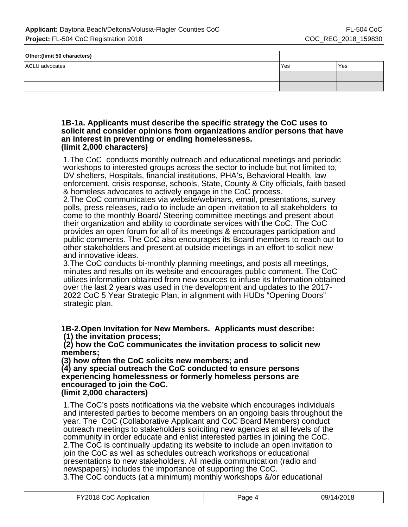| Other: (limit 50 characters) |       |     |
|------------------------------|-------|-----|
| ACLU advocates               | l Yes | Yes |
|                              |       |     |
|                              |       |     |

#### **1B-1a. Applicants must describe the specific strategy the CoC uses to solicit and consider opinions from organizations and/or persons that have an interest in preventing or ending homelessness. (limit 2,000 characters)**

1.The CoC conducts monthly outreach and educational meetings and periodic workshops to interested groups across the sector to include but not limited to, DV shelters, Hospitals, financial institutions, PHA's, Behavioral Health, law enforcement, crisis response, schools, State, County & City officials, faith based & homeless advocates to actively engage in the CoC process.

2.The CoC communicates via website/webinars, email, presentations, survey polls, press releases, radio to include an open invitation to all stakeholders to come to the monthly Board/ Steering committee meetings and present about their organization and ability to coordinate services with the CoC. The CoC provides an open forum for all of its meetings & encourages participation and public comments. The CoC also encourages its Board members to reach out to other stakeholders and present at outside meetings in an effort to solicit new and innovative ideas.

3.The CoC conducts bi-monthly planning meetings, and posts all meetings, minutes and results on its website and encourages public comment. The CoC utilizes information obtained from new sources to infuse its Information obtained over the last 2 years was used in the development and updates to the 2017- 2022 CoC 5 Year Strategic Plan, in alignment with HUDs "Opening Doors" strategic plan.

**1B-2.Open Invitation for New Members. Applicants must describe: (1) the invitation process;**

 **(2) how the CoC communicates the invitation process to solicit new members;**

**(3) how often the CoC solicits new members; and**

**(4) any special outreach the CoC conducted to ensure persons experiencing homelessness or formerly homeless persons are encouraged to join the CoC. (limit 2,000 characters)**

1.The CoC's posts notifications via the website which encourages individuals and interested parties to become members on an ongoing basis throughout the year. The CoC (Collaborative Applicant and CoC Board Members) conduct outreach meetings to stakeholders soliciting new agencies at all levels of the community in order educate and enlist interested parties in joining the CoC. 2.The CoC is continually updating its website to include an open invitation to join the CoC as well as schedules outreach workshops or educational presentations to new stakeholders. All media communication (radio and newspapers) includes the importance of supporting the CoC. 3.The CoC conducts (at a minimum) monthly workshops &/or educational

| FY2018 CoC Application | Page. | 09/14/2018 |
|------------------------|-------|------------|
|------------------------|-------|------------|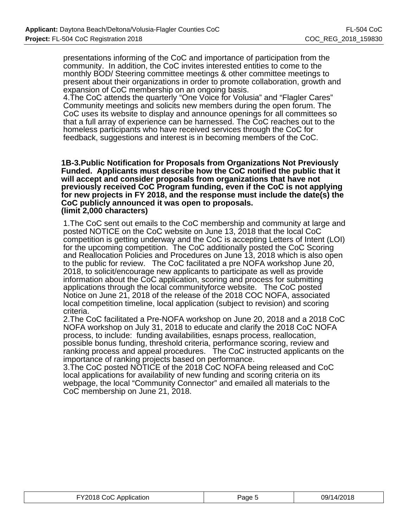presentations informing of the CoC and importance of participation from the community. In addition, the CoC invites interested entities to come to the monthly BOD/ Steering committee meetings & other committee meetings to present about their organizations in order to promote collaboration, growth and expansion of CoC membership on an ongoing basis.

4.The CoC attends the quarterly "One Voice for Volusia" and "Flagler Cares" Community meetings and solicits new members during the open forum. The CoC uses its website to display and announce openings for all committees so that a full array of experience can be harnessed. The CoC reaches out to the homeless participants who have received services through the CoC for feedback, suggestions and interest is in becoming members of the CoC.

**1B-3.Public Notification for Proposals from Organizations Not Previously Funded. Applicants must describe how the CoC notified the public that it will accept and consider proposals from organizations that have not previously received CoC Program funding, even if the CoC is not applying for new projects in FY 2018, and the response must include the date(s) the CoC publicly announced it was open to proposals. (limit 2,000 characters)**

1.The CoC sent out emails to the CoC membership and community at large and posted NOTICE on the CoC website on June 13, 2018 that the local CoC competition is getting underway and the CoC is accepting Letters of Intent (LOI) for the upcoming competition. The CoC additionally posted the CoC Scoring and Reallocation Policies and Procedures on June 13, 2018 which is also open to the public for review. The CoC facilitated a pre NOFA workshop June 20, 2018, to solicit/encourage new applicants to participate as well as provide information about the CoC application, scoring and process for submitting applications through the local communityforce website. The CoC posted Notice on June 21, 2018 of the release of the 2018 COC NOFA, associated local competition timeline, local application (subject to revision) and scoring criteria.

2.The CoC facilitated a Pre-NOFA workshop on June 20, 2018 and a 2018 CoC NOFA workshop on July 31, 2018 to educate and clarify the 2018 CoC NOFA process, to include: funding availabilities, esnaps process, reallocation, possible bonus funding, threshold criteria, performance scoring, review and ranking process and appeal procedures. The CoC instructed applicants on the importance of ranking projects based on performance.

3.The CoC posted NOTICE of the 2018 CoC NOFA being released and CoC local applications for availability of new funding and scoring criteria on its webpage, the local "Community Connector" and emailed all materials to the CoC membership on June 21, 2018.

| FY2018 CoC Application | Page 5 | 09/14/2018 |
|------------------------|--------|------------|
|------------------------|--------|------------|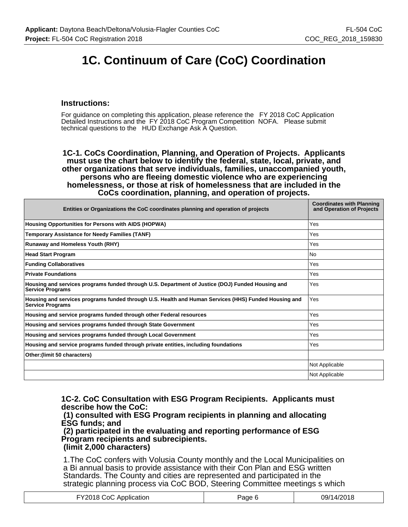# **1C. Continuum of Care (CoC) Coordination**

#### **Instructions:**

For guidance on completing this application, please reference the FY 2018 CoC Application Detailed Instructions and the FY 2018 CoC Program Competition NOFA. Please submit technical questions to the HUD Exchange Ask A Question.

**1C-1. CoCs Coordination, Planning, and Operation of Projects. Applicants must use the chart below to identify the federal, state, local, private, and other organizations that serve individuals, families, unaccompanied youth, persons who are fleeing domestic violence who are experiencing homelessness, or those at risk of homelessness that are included in the CoCs coordination, planning, and operation of projects.**

| Entities or Organizations the CoC coordinates planning and operation of projects                                                | <b>Coordinates with Planning</b><br>and Operation of Projects |
|---------------------------------------------------------------------------------------------------------------------------------|---------------------------------------------------------------|
| Housing Opportunities for Persons with AIDS (HOPWA)                                                                             | Yes                                                           |
| <b>Temporary Assistance for Needy Families (TANF)</b>                                                                           | Yes                                                           |
| <b>Runaway and Homeless Youth (RHY)</b>                                                                                         | Yes                                                           |
| <b>Head Start Program</b>                                                                                                       | No                                                            |
| <b>Funding Collaboratives</b>                                                                                                   | Yes                                                           |
| <b>Private Foundations</b>                                                                                                      | Yes                                                           |
| Housing and services programs funded through U.S. Department of Justice (DOJ) Funded Housing and<br><b>Service Programs</b>     | Yes                                                           |
| Housing and services programs funded through U.S. Health and Human Services (HHS) Funded Housing and<br><b>Service Programs</b> | Yes                                                           |
| Housing and service programs funded through other Federal resources                                                             | Yes                                                           |
| Housing and services programs funded through State Government                                                                   | Yes                                                           |
| Housing and services programs funded through Local Government                                                                   | Yes                                                           |
| Housing and service programs funded through private entities, including foundations                                             | Yes                                                           |
| Other: (limit 50 characters)                                                                                                    |                                                               |
|                                                                                                                                 | Not Applicable                                                |
|                                                                                                                                 | Not Applicable                                                |

**1C-2. CoC Consultation with ESG Program Recipients. Applicants must describe how the CoC:**

 **(1) consulted with ESG Program recipients in planning and allocating ESG funds; and**

 **(2) participated in the evaluating and reporting performance of ESG Program recipients and subrecipients. (limit 2,000 characters)**

1.The CoC confers with Volusia County monthly and the Local Municipalities on a Bi annual basis to provide assistance with their Con Plan and ESG written Standards. The County and cities are represented and participated in the strategic planning process via CoC BOD, Steering Committee meetings s which

| Y2018 CoC Application | Page | 09/14/2018 |
|-----------------------|------|------------|
|-----------------------|------|------------|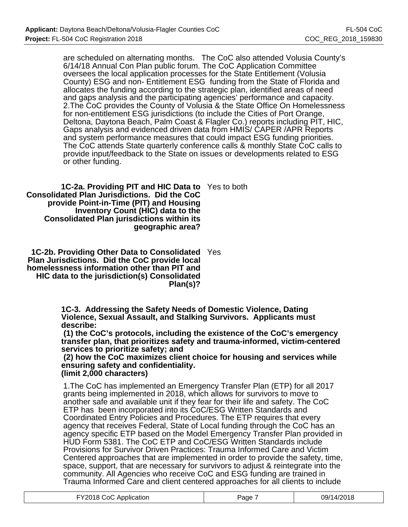are scheduled on alternating months. The CoC also attended Volusia County's 6/14/18 Annual Con Plan public forum. The CoC Application Committee oversees the local application processes for the State Entitlement (Volusia County) ESG and non- Entitlement ESG funding from the State of Florida and allocates the funding according to the strategic plan, identified areas of need and gaps analysis and the participating agencies' performance and capacity. 2.The CoC provides the County of Volusia & the State Office On Homelessness for non-entitlement ESG jurisdictions (to include the Cities of Port Orange, Deltona, Daytona Beach, Palm Coast & Flagler Co.) reports including PIT, HIC, Gaps analysis and evidenced driven data from HMIS/ CAPER /APR Reports and system performance measures that could impact ESG funding priorities. The CoC attends State quarterly conference calls & monthly State CoC calls to provide input/feedback to the State on issues or developments related to ESG or other funding.

**1C-2a. Providing PIT and HIC Data to** Yes to both **Consolidated Plan Jurisdictions. Did the CoC provide Point-in-Time (PIT) and Housing Inventory Count (HIC) data to the Consolidated Plan jurisdictions within its geographic area?**

**1C-2b. Providing Other Data to Consolidated** Yes **Plan Jurisdictions. Did the CoC provide local homelessness information other than PIT and HIC data to the jurisdiction(s) Consolidated Plan(s)?**

> **1C-3. Addressing the Safety Needs of Domestic Violence, Dating Violence, Sexual Assault, and Stalking Survivors. Applicants must describe:**

 **(1) the CoC's protocols, including the existence of the CoC's emergency transfer plan, that prioritizes safety and trauma-informed, victim-centered services to prioritize safety; and**

 **(2) how the CoC maximizes client choice for housing and services while ensuring safety and confidentiality. (limit 2,000 characters)**

1.The CoC has implemented an Emergency Transfer Plan (ETP) for all 2017 grants being implemented in 2018, which allows for survivors to move to another safe and available unit if they fear for their life and safety. The CoC ETP has been incorporated into its CoC/ESG Written Standards and Coordinated Entry Policies and Procedures. The ETP requires that every agency that receives Federal, State of Local funding through the CoC has an agency specific ETP based on the Model Emergency Transfer Plan provided in HUD Form 5381. The CoC ETP and CoC/ESG Written Standards include Provisions for Survivor Driven Practices: Trauma Informed Care and Victim Centered approaches that are implemented in order to provide the safety, time, space, support, that are necessary for survivors to adjust & reintegrate into the community. All Agencies who receive CoC and ESG funding are trained in Trauma Informed Care and client centered approaches for all clients to include

|  | FY2018 CoC Application | Page | 09/14/2018 |
|--|------------------------|------|------------|
|--|------------------------|------|------------|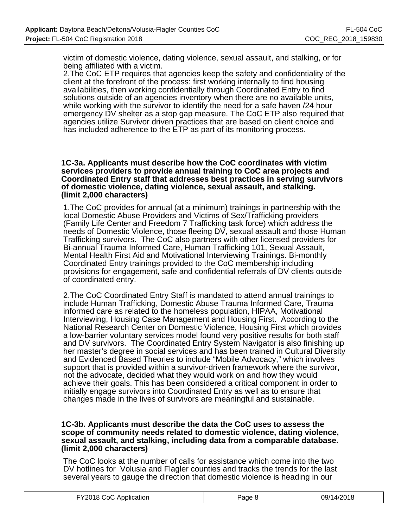victim of domestic violence, dating violence, sexual assault, and stalking, or for being affiliated with a victim.

2.The CoC ETP requires that agencies keep the safety and confidentiality of the client at the forefront of the process: first working internally to find housing availabilities, then working confidentially through Coordinated Entry to find solutions outside of an agencies inventory when there are no available units, while working with the survivor to identify the need for a safe haven /24 hour emergency DV shelter as a stop gap measure. The CoC ETP also required that agencies utilize Survivor driven practices that are based on client choice and has included adherence to the ETP as part of its monitoring process.

#### **1C-3a. Applicants must describe how the CoC coordinates with victim services providers to provide annual training to CoC area projects and Coordinated Entry staff that addresses best practices in serving survivors of domestic violence, dating violence, sexual assault, and stalking. (limit 2,000 characters)**

1.The CoC provides for annual (at a minimum) trainings in partnership with the local Domestic Abuse Providers and Victims of Sex/Trafficking providers (Family Life Center and Freedom 7 Trafficking task force) which address the needs of Domestic Violence, those fleeing DV, sexual assault and those Human Trafficking survivors. The CoC also partners with other licensed providers for Bi-annual Trauma Informed Care, Human Trafficking 101, Sexual Assault, Mental Health First Aid and Motivational Interviewing Trainings. Bi-monthly Coordinated Entry trainings provided to the CoC membership including provisions for engagement, safe and confidential referrals of DV clients outside of coordinated entry.

2.The CoC Coordinated Entry Staff is mandated to attend annual trainings to include Human Trafficking, Domestic Abuse Trauma Informed Care, Trauma informed care as related to the homeless population, HIPAA, Motivational Interviewing, Housing Case Management and Housing First. According to the National Research Center on Domestic Violence, Housing First which provides a low-barrier voluntary services model found very positive results for both staff and DV survivors. The Coordinated Entry System Navigator is also finishing up her master's degree in social services and has been trained in Cultural Diversity and Evidenced Based Theories to include "Mobile Advocacy," which involves support that is provided within a survivor-driven framework where the survivor, not the advocate, decided what they would work on and how they would achieve their goals. This has been considered a critical component in order to initially engage survivors into Coordinated Entry as well as to ensure that changes made in the lives of survivors are meaningful and sustainable.

#### **1C-3b. Applicants must describe the data the CoC uses to assess the scope of community needs related to domestic violence, dating violence, sexual assault, and stalking, including data from a comparable database. (limit 2,000 characters)**

The CoC looks at the number of calls for assistance which come into the two DV hotlines for Volusia and Flagler counties and tracks the trends for the last several years to gauge the direction that domestic violence is heading in our

|  | FY2018 CoC Application | Page P | 09/14/2018 |
|--|------------------------|--------|------------|
|--|------------------------|--------|------------|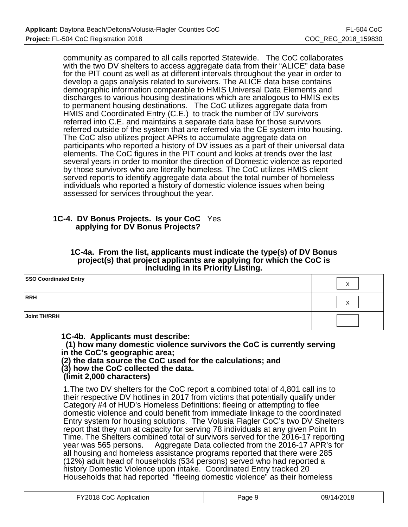community as compared to all calls reported Statewide. The CoC collaborates with the two DV shelters to access aggregate data from their "ALICE" data base for the PIT count as well as at different intervals throughout the year in order to develop a gaps analysis related to survivors. The ALICE data base contains demographic information comparable to HMIS Universal Data Elements and discharges to various housing destinations which are analogous to HMIS exits to permanent housing destinations. The CoC utilizes aggregate data from HMIS and Coordinated Entry (C.E.) to track the number of DV survivors referred into C.E. and maintains a separate data base for those survivors referred outside of the system that are referred via the CE system into housing. The CoC also utilizes project APRs to accumulate aggregate data on participants who reported a history of DV issues as a part of their universal data elements. The CoC figures in the PIT count and looks at trends over the last several years in order to monitor the direction of Domestic violence as reported by those survivors who are literally homeless. The CoC utilizes HMIS client served reports to identify aggregate data about the total number of homeless individuals who reported a history of domestic violence issues when being assessed for services throughout the year.

## **1C-4. DV Bonus Projects. Is your CoC** Yes **applying for DV Bonus Projects?**

#### **1C-4a. From the list, applicants must indicate the type(s) of DV Bonus project(s) that project applicants are applying for which the CoC is including in its Priority Listing.**

| <b>SSO Coordinated Entry</b> | $\lambda$ |
|------------------------------|-----------|
| RRH                          |           |
| Joint TH/RRH                 |           |

**1C-4b. Applicants must describe:**

 **(1) how many domestic violence survivors the CoC is currently serving in the CoC's geographic area;**

**(2) the data source the CoC used for the calculations; and**

**(3) how the CoC collected the data.**

 **(limit 2,000 characters)**

1.The two DV shelters for the CoC report a combined total of 4,801 call ins to their respective DV hotlines in 2017 from victims that potentially qualify under Category #4 of HUD's Homeless Definitions: fleeing or attempting to flee domestic violence and could benefit from immediate linkage to the coordinated Entry system for housing solutions. The Volusia Flagler CoC's two DV Shelters report that they run at capacity for serving 78 individuals at any given Point In Time. The Shelters combined total of survivors served for the 2016-17 reporting year was 565 persons. Aggregate Data collected from the 2016-17 APR's for all housing and homeless assistance programs reported that there were 285 (12%) adult head of households (534 persons) served who had reported a history Domestic Violence upon intake. Coordinated Entry tracked 20 Households that had reported "fleeing domestic violence" as their homeless

| <b>FY2018 CoC A</b><br>CoC Application<br>Page | 09/14/2018 |
|------------------------------------------------|------------|
|------------------------------------------------|------------|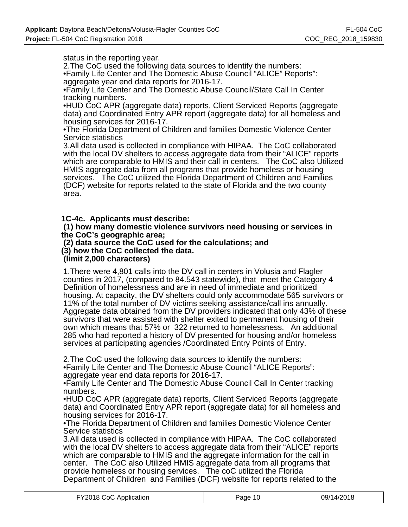status in the reporting year.

2.The CoC used the following data sources to identify the numbers: •Family Life Center and The Domestic Abuse Council "ALICE" Reports": aggregate year end data reports for 2016-17.

•Family Life Center and The Domestic Abuse Council/State Call In Center tracking numbers.

•HUD CoC APR (aggregate data) reports, Client Serviced Reports (aggregate data) and Coordinated Entry APR report (aggregate data) for all homeless and housing services for 2016-17.

•The Florida Department of Children and families Domestic Violence Center Service statistics

3.All data used is collected in compliance with HIPAA. The CoC collaborated with the local DV shelters to access aggregate data from their "ALICE" reports which are comparable to HMIS and their call in centers. The CoC also Utilized HMIS aggregate data from all programs that provide homeless or housing services. The CoC utilized the Florida Department of Children and Families (DCF) website for reports related to the state of Florida and the two county area.

**1C-4c. Applicants must describe:**

 **(1) how many domestic violence survivors need housing or services in the CoC's geographic area;**

 **(2) data source the CoC used for the calculations; and (3) how the CoC collected the data.**

 **(limit 2,000 characters)**

1.There were 4,801 calls into the DV call in centers in Volusia and Flagler counties in 2017, (compared to 84.543 statewide), that meet the Category 4 Definition of homelessness and are in need of immediate and prioritized housing. At capacity, the DV shelters could only accommodate 565 survivors or 11% of the total number of DV victims seeking assistance/call ins annually. Aggregate data obtained from the DV providers indicated that only 43% of these survivors that were assisted with shelter exited to permanent housing of their own which means that 57% or 322 returned to homelessness. An additional 285 who had reported a history of DV presented for housing and/or homeless services at participating agencies /Coordinated Entry Points of Entry.

2.The CoC used the following data sources to identify the numbers:

•Family Life Center and The Domestic Abuse Council "ALICE Reports": aggregate year end data reports for 2016-17.

•Family Life Center and The Domestic Abuse Council Call In Center tracking numbers.

•HUD CoC APR (aggregate data) reports, Client Serviced Reports (aggregate data) and Coordinated Entry APR report (aggregate data) for all homeless and housing services for 2016-17.

•The Florida Department of Children and families Domestic Violence Center Service statistics

3.All data used is collected in compliance with HIPAA. The CoC collaborated with the local DV shelters to access aggregate data from their "ALICE" reports which are comparable to HMIS and the aggregate information for the call in center. The CoC also Utilized HMIS aggregate data from all programs that provide homeless or housing services. The coC utilized the Florida Department of Children and Families (DCF) website for reports related to the

| FY2018 CoC Application | Page 10 | 09/14/2018 |
|------------------------|---------|------------|
|------------------------|---------|------------|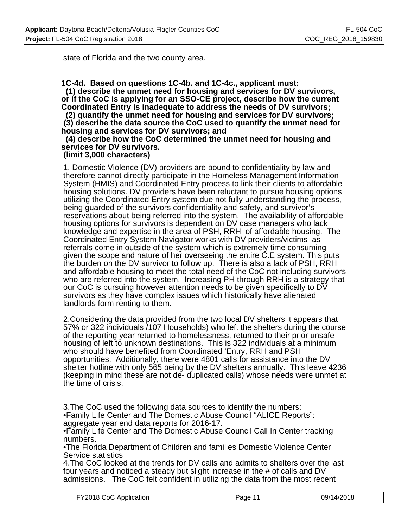state of Florida and the two county area.

**1C-4d. Based on questions 1C-4b. and 1C-4c., applicant must: (1) describe the unmet need for housing and services for DV survivors, or if the CoC is applying for an SSO-CE project, describe how the current Coordinated Entry is inadequate to address the needs of DV survivors;**

 **(2) quantify the unmet need for housing and services for DV survivors; (3) describe the data source the CoC used to quantify the unmet need for housing and services for DV survivors; and**

## **(4) describe how the CoC determined the unmet need for housing and services for DV survivors.**

#### **(limit 3,000 characters)**

1. Domestic Violence (DV) providers are bound to confidentiality by law and therefore cannot directly participate in the Homeless Management Information System (HMIS) and Coordinated Entry process to link their clients to affordable housing solutions. DV providers have been reluctant to pursue housing options utilizing the Coordinated Entry system due not fully understanding the process, being guarded of the survivors confidentiality and safety, and survivor's reservations about being referred into the system. The availability of affordable housing options for survivors is dependent on DV case managers who lack knowledge and expertise in the area of PSH, RRH of affordable housing. The Coordinated Entry System Navigator works with DV providers/victims as referrals come in outside of the system which is extremely time consuming given the scope and nature of her overseeing the entire C.E system. This puts the burden on the DV survivor to follow up. There is also a lack of PSH, RRH and affordable housing to meet the total need of the CoC not including survivors who are referred into the system. Increasing PH through RRH is a strategy that our CoC is pursuing however attention needs to be given specifically to DV survivors as they have complex issues which historically have alienated landlords form renting to them.

2.Considering the data provided from the two local DV shelters it appears that 57% or 322 individuals /107 Households) who left the shelters during the course of the reporting year returned to homelessness, returned to their prior unsafe housing of left to unknown destinations. This is 322 individuals at a minimum who should have benefited from Coordinated 'Entry, RRH and PSH opportunities. Additionally, there were 4801 calls for assistance into the DV shelter hotline with only 565 being by the DV shelters annually. This leave 4236 (keeping in mind these are not de- duplicated calls) whose needs were unmet at the time of crisis.

3.The CoC used the following data sources to identify the numbers: •Family Life Center and The Domestic Abuse Council "ALICE Reports": aggregate year end data reports for 2016-17.

•Family Life Center and The Domestic Abuse Council Call In Center tracking numbers.

•The Florida Department of Children and families Domestic Violence Center Service statistics

4.The CoC looked at the trends for DV calls and admits to shelters over the last four years and noticed a steady but slight increase in the # of calls and DV admissions. The CoC felt confident in utilizing the data from the most recent

| FY2018 CoC Application | Page 11 | 09/14/2018 |
|------------------------|---------|------------|
|------------------------|---------|------------|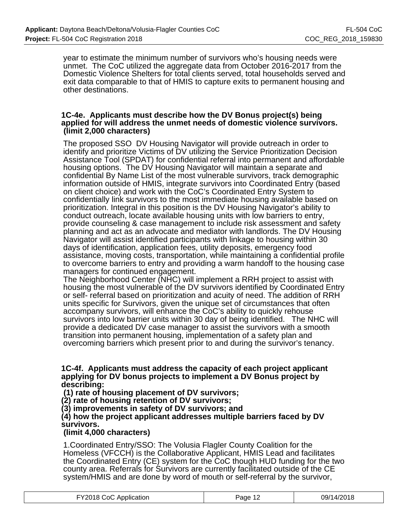year to estimate the minimum number of survivors who's housing needs were unmet. The CoC utilized the aggregate data from October 2016-2017 from the Domestic Violence Shelters for total clients served, total households served and exit data comparable to that of HMIS to capture exits to permanent housing and other destinations.

#### **1C-4e. Applicants must describe how the DV Bonus project(s) being applied for will address the unmet needs of domestic violence survivors. (limit 2,000 characters)**

The proposed SSO DV Housing Navigator will provide outreach in order to identify and prioritize Victims of DV utilizing the Service Prioritization Decision Assistance Tool (SPDAT) for confidential referral into permanent and affordable housing options. The DV Housing Navigator will maintain a separate and confidential By Name List of the most vulnerable survivors, track demographic information outside of HMIS, integrate survivors into Coordinated Entry (based on client choice) and work with the CoC's Coordinated Entry System to confidentially link survivors to the most immediate housing available based on prioritization. Integral in this position is the DV Housing Navigator's ability to conduct outreach, locate available housing units with low barriers to entry, provide counseling & case management to include risk assessment and safety planning and act as an advocate and mediator with landlords. The DV Housing Navigator will assist identified participants with linkage to housing within 30 days of identification, application fees, utility deposits, emergency food assistance, moving costs, transportation, while maintaining a confidential profile to overcome barriers to entry and providing a warm handoff to the housing case managers for continued engagement.

The Neighborhood Center (NHC) will implement a RRH project to assist with housing the most vulnerable of the DV survivors identified by Coordinated Entry or self- referral based on prioritization and acuity of need. The addition of RRH units specific for Survivors, given the unique set of circumstances that often accompany survivors, will enhance the CoC's ability to quickly rehouse survivors into low barrier units within 30 day of being identified. The NHC will provide a dedicated DV case manager to assist the survivors with a smooth transition into permanent housing, implementation of a safety plan and overcoming barriers which present prior to and during the survivor's tenancy.

#### **1C-4f. Applicants must address the capacity of each project applicant applying for DV bonus projects to implement a DV Bonus project by describing:**

 **(1) rate of housing placement of DV survivors;**

**(2) rate of housing retention of DV survivors;**

**(3) improvements in safety of DV survivors; and**

## **(4) how the project applicant addresses multiple barriers faced by DV survivors.**

## **(limit 4,000 characters)**

1.Coordinated Entry/SSO: The Volusia Flagler County Coalition for the Homeless (VFCCH) is the Collaborative Applicant, HMIS Lead and facilitates the Coordinated Entry (CE) system for the CoC though HUD funding for the two county area. Referrals for Survivors are currently facilitated outside of the CE system/HMIS and are done by word of mouth or self-referral by the survivor,

| FY2018 CoC Application | Page 12 | 09/14/2018 |
|------------------------|---------|------------|
|------------------------|---------|------------|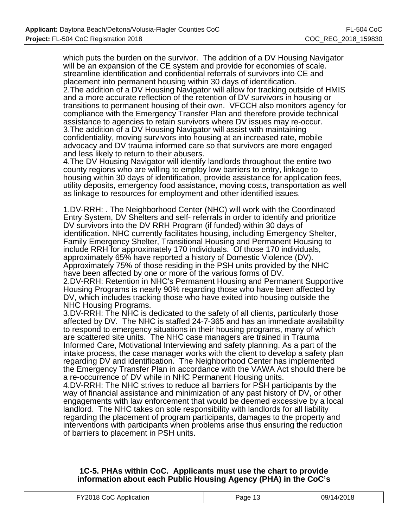which puts the burden on the survivor. The addition of a DV Housing Navigator will be an expansion of the CE system and provide for economies of scale. streamline identification and confidential referrals of survivors into CE and placement into permanent housing within 30 days of identification.

2.The addition of a DV Housing Navigator will allow for tracking outside of HMIS and a more accurate reflection of the retention of DV survivors in housing or transitions to permanent housing of their own. VFCCH also monitors agency for compliance with the Emergency Transfer Plan and therefore provide technical assistance to agencies to retain survivors where DV issues may re-occur. 3. The addition of a DV Housing Navigator will assist with maintaining confidentiality, moving survivors into housing at an increased rate, mobile advocacy and DV trauma informed care so that survivors are more engaged and less likely to return to their abusers.

4.The DV Housing Navigator will identify landlords throughout the entire two county regions who are willing to employ low barriers to entry, linkage to housing within 30 days of identification, provide assistance for application fees, utility deposits, emergency food assistance, moving costs, transportation as well as linkage to resources for employment and other identified issues.

1.DV-RRH: . The Neighborhood Center (NHC) will work with the Coordinated Entry System, DV Shelters and self- referrals in order to identify and prioritize DV survivors into the DV RRH Program (if funded) within 30 days of identification. NHC currently facilitates housing, including Emergency Shelter, Family Emergency Shelter, Transitional Housing and Permanent Housing to include RRH for approximately 170 individuals. Of those 170 individuals, approximately 65% have reported a history of Domestic Violence (DV). Approximately 75% of those residing in the PSH units provided by the NHC have been affected by one or more of the various forms of DV.

2.DV-RRH: Retention in NHC's Permanent Housing and Permanent Supportive Housing Programs is nearly 90% regarding those who have been affected by DV, which includes tracking those who have exited into housing outside the NHC Housing Programs.

3.DV-RRH: The NHC is dedicated to the safety of all clients, particularly those affected by DV. The NHC is staffed 24-7-365 and has an immediate availability to respond to emergency situations in their housing programs, many of which are scattered site units. The NHC case managers are trained in Trauma Informed Care, Motivational Interviewing and safety planning. As a part of the intake process, the case manager works with the client to develop a safety plan regarding DV and identification. The Neighborhood Center has implemented the Emergency Transfer Plan in accordance with the VAWA Act should there be a re-occurrence of DV while in NHC Permanent Housing units.

4.DV-RRH: The NHC strives to reduce all barriers for PSH participants by the way of financial assistance and minimization of any past history of DV, or other engagements with law enforcement that would be deemed excessive by a local landlord. The NHC takes on sole responsibility with landlords for all liability regarding the placement of program participants, damages to the property and interventions with participants when problems arise thus ensuring the reduction of barriers to placement in PSH units.

#### **1C-5. PHAs within CoC. Applicants must use the chart to provide information about each Public Housing Agency (PHA) in the CoC's**

| FY2018 CoC Application<br>09/14/2018<br>Page $1^\circ$<br>∣◡ |
|--------------------------------------------------------------|
|--------------------------------------------------------------|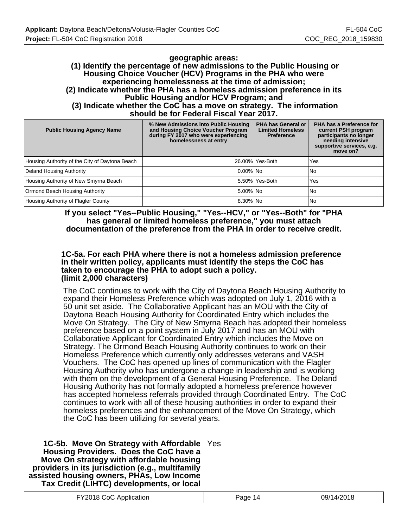#### **geographic areas: (1) Identify the percentage of new admissions to the Public Housing or Housing Choice Voucher (HCV) Programs in the PHA who were experiencing homelessness at the time of admission; (2) Indicate whether the PHA has a homeless admission preference in its Public Housing and/or HCV Program; and (3) Indicate whether the CoC has a move on strategy. The information should be for Federal Fiscal Year 2017.**

| <b>Public Housing Agency Name</b>              | % New Admissions into Public Housing<br>and Housing Choice Voucher Program<br>during FY 2017 who were experiencing<br>homelessness at entry | PHA has General or<br><b>Limited Homeless</b><br><b>Preference</b> | PHA has a Preference for<br>current PSH program<br>participants no longer<br>needing intensive<br>supportive services, e.g.<br>move on? |
|------------------------------------------------|---------------------------------------------------------------------------------------------------------------------------------------------|--------------------------------------------------------------------|-----------------------------------------------------------------------------------------------------------------------------------------|
| Housing Authority of the City of Daytona Beach |                                                                                                                                             | 26.00% Yes-Both                                                    | Yes                                                                                                                                     |
| Deland Housing Authority                       | $0.00\%$   No                                                                                                                               |                                                                    | No                                                                                                                                      |
| Housing Authority of New Smyrna Beach          |                                                                                                                                             | 5.50% Yes-Both                                                     | Yes                                                                                                                                     |
| Ormond Beach Housing Authority                 | $5.00\%$ $No$                                                                                                                               |                                                                    | No                                                                                                                                      |
| Housing Authority of Flagler County            | 8.30% No                                                                                                                                    |                                                                    | No                                                                                                                                      |

**If you select "Yes--Public Housing," "Yes--HCV," or "Yes--Both" for "PHA has general or limited homeless preference," you must attach documentation of the preference from the PHA in order to receive credit.**

#### **1C-5a. For each PHA where there is not a homeless admission preference in their written policy, applicants must identify the steps the CoC has taken to encourage the PHA to adopt such a policy. (limit 2,000 characters)**

The CoC continues to work with the City of Daytona Beach Housing Authority to expand their Homeless Preference which was adopted on July 1, 2016 with a 50 unit set aside. The Collaborative Applicant has an MOU with the City of Daytona Beach Housing Authority for Coordinated Entry which includes the Move On Strategy. The City of New Smyrna Beach has adopted their homeless preference based on a point system in July 2017 and has an MOU with Collaborative Applicant for Coordinated Entry which includes the Move on Strategy. The Ormond Beach Housing Authority continues to work on their Homeless Preference which currently only addresses veterans and VASH Vouchers. The CoC has opened up lines of communication with the Flagler Housing Authority who has undergone a change in leadership and is working with them on the development of a General Housing Preference. The Deland Housing Authority has not formally adopted a homeless preference however has accepted homeless referrals provided through Coordinated Entry. The CoC continues to work with all of these housing authorities in order to expand their homeless preferences and the enhancement of the Move On Strategy, which the CoC has been utilizing for several years.

**1C-5b. Move On Strategy with Affordable** Yes **Housing Providers. Does the CoC have a Move On strategy with affordable housing providers in its jurisdiction (e.g., multifamily assisted housing owners, PHAs, Low Income Tax Credit (LIHTC) developments, or local**

| FY2018 CoC Application | Page 14 | 09/14/2018 |
|------------------------|---------|------------|
|------------------------|---------|------------|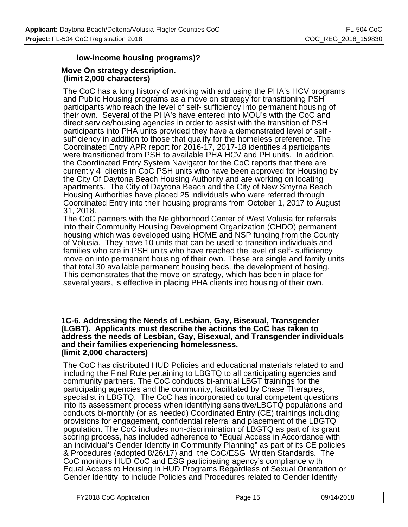## **low-income housing programs)?**

#### **Move On strategy description. (limit 2,000 characters)**

The CoC has a long history of working with and using the PHA's HCV programs and Public Housing programs as a move on strategy for transitioning PSH participants who reach the level of self- sufficiency into permanent housing of their own. Several of the PHA's have entered into MOU's with the CoC and direct service/housing agencies in order to assist with the transition of PSH participants into PHA units provided they have a demonstrated level of self sufficiency in addition to those that qualify for the homeless preference. The Coordinated Entry APR report for 2016-17, 2017-18 identifies 4 participants were transitioned from PSH to available PHA HCV and PH units. In addition, the Coordinated Entry System Navigator for the CoC reports that there are currently 4 clients in CoC PSH units who have been approved for Housing by the City Of Daytona Beach Housing Authority and are working on locating apartments. The City of Daytona Beach and the City of New Smyrna Beach Housing Authorities have placed 25 individuals who were referred through Coordinated Entry into their housing programs from October 1, 2017 to August 31, 2018.

The CoC partners with the Neighborhood Center of West Volusia for referrals into their Community Housing Development Organization (CHDO) permanent housing which was developed using HOME and NSP funding from the County of Volusia. They have 10 units that can be used to transition individuals and families who are in PSH units who have reached the level of self- sufficiency move on into permanent housing of their own. These are single and family units that total 30 available permanent housing beds. the development of hosing. This demonstrates that the move on strategy, which has been in place for several years, is effective in placing PHA clients into housing of their own.

#### **1C-6. Addressing the Needs of Lesbian, Gay, Bisexual, Transgender (LGBT). Applicants must describe the actions the CoC has taken to address the needs of Lesbian, Gay, Bisexual, and Transgender individuals and their families experiencing homelessness. (limit 2,000 characters)**

The CoC has distributed HUD Policies and educational materials related to and including the Final Rule pertaining to LBGTQ to all participating agencies and community partners. The CoC conducts bi-annual LBGT trainings for the participating agencies and the community, facilitated by Chase Therapies, specialist in LBGTQ. The CoC has incorporated cultural competent questions into its assessment process when identifying sensitive/LBGTQ populations and conducts bi-monthly (or as needed) Coordinated Entry (CE) trainings including provisions for engagement, confidential referral and placement of the LBGTQ population. The CoC includes non-discrimination of LBGTQ as part of its grant scoring process, has included adherence to "Equal Access in Accordance with an individual's Gender Identity in Community Planning" as part of its CE policies & Procedures (adopted 8/26/17) and the CoC/ESG Written Standards. The CoC monitors HUD CoC and ESG participating agency's compliance with Equal Access to Housing in HUD Programs Regardless of Sexual Orientation or Gender Identity to include Policies and Procedures related to Gender Identify

| FY2018 CoC Application | Page 15 | 09/14/2018 |
|------------------------|---------|------------|
|------------------------|---------|------------|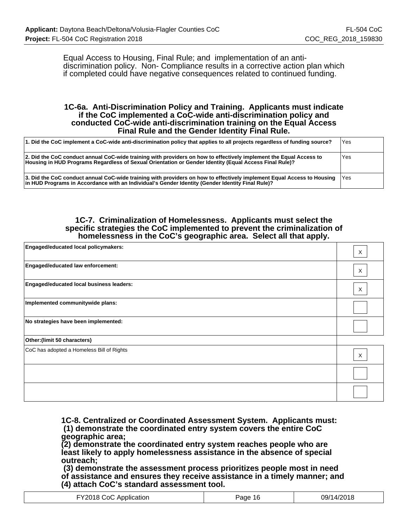Equal Access to Housing, Final Rule; and implementation of an antidiscrimination policy. Non- Compliance results in a corrective action plan which if completed could have negative consequences related to continued funding.

#### **1C-6a. Anti-Discrimination Policy and Training. Applicants must indicate if the CoC implemented a CoC-wide anti-discrimination policy and conducted CoC-wide anti-discrimination training on the Equal Access Final Rule and the Gender Identity Final Rule.**

| 1. Did the CoC implement a CoC-wide anti-discrimination policy that applies to all projects regardless of funding source?                                                                                                        | Yes |
|----------------------------------------------------------------------------------------------------------------------------------------------------------------------------------------------------------------------------------|-----|
| 2. Did the CoC conduct annual CoC-wide training with providers on how to effectively implement the Equal Access to<br>Housing in HUD Programs Regardless of Sexual Orientation or Gender Identity (Equal Access Final Rule)?     | Yes |
| 3. Did the CoC conduct annual CoC-wide training with providers on how to effectively implement Equal Access to Housing   Yes<br>in HUD Programs in Accordance with an Individual's Gender Identity (Gender Identity Final Rule)? |     |

#### **1C-7. Criminalization of Homelessness. Applicants must select the specific strategies the CoC implemented to prevent the criminalization of homelessness in the CoC's geographic area. Select all that apply.**

| Engaged/educated local policymakers:      | $\times$ |
|-------------------------------------------|----------|
| Engaged/educated law enforcement:         | X        |
| Engaged/educated local business leaders:  | X        |
| Implemented communitywide plans:          |          |
| No strategies have been implemented:      |          |
| Other: (limit 50 characters)              |          |
| CoC has adopted a Homeless Bill of Rights | X        |
|                                           |          |
|                                           |          |

**1C-8. Centralized or Coordinated Assessment System. Applicants must: (1) demonstrate the coordinated entry system covers the entire CoC geographic area;**

**(2) demonstrate the coordinated entry system reaches people who are least likely to apply homelessness assistance in the absence of special outreach;**

 **(3) demonstrate the assessment process prioritizes people most in need of assistance and ensures they receive assistance in a timely manner; and (4) attach CoC's standard assessment tool.**

| Y2018 CoC Application | Page 16 | 09/14/2018 |
|-----------------------|---------|------------|
|-----------------------|---------|------------|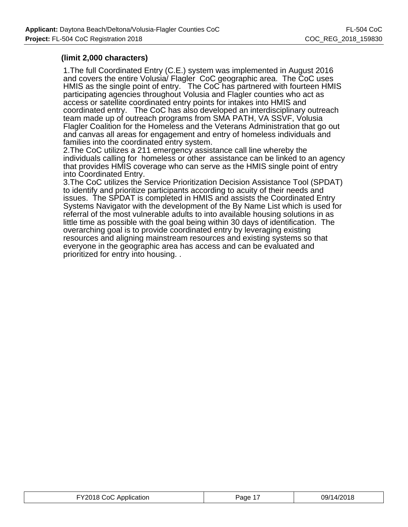## **(limit 2,000 characters)**

1.The full Coordinated Entry (C.E.) system was implemented in August 2016 and covers the entire Volusia/ Flagler CoC geographic area. The CoC uses HMIS as the single point of entry. The CoC has partnered with fourteen HMIS participating agencies throughout Volusia and Flagler counties who act as access or satellite coordinated entry points for intakes into HMIS and coordinated entry. The CoC has also developed an interdisciplinary outreach team made up of outreach programs from SMA PATH, VA SSVF, Volusia Flagler Coalition for the Homeless and the Veterans Administration that go out and canvas all areas for engagement and entry of homeless individuals and families into the coordinated entry system.

2.The CoC utilizes a 211 emergency assistance call line whereby the individuals calling for homeless or other assistance can be linked to an agency that provides HMIS coverage who can serve as the HMIS single point of entry into Coordinated Entry.

3.The CoC utilizes the Service Prioritization Decision Assistance Tool (SPDAT) to identify and prioritize participants according to acuity of their needs and issues. The SPDAT is completed in HMIS and assists the Coordinated Entry Systems Navigator with the development of the By Name List which is used for referral of the most vulnerable adults to into available housing solutions in as little time as possible with the goal being within 30 days of identification. The overarching goal is to provide coordinated entry by leveraging existing resources and aligning mainstream resources and existing systems so that everyone in the geographic area has access and can be evaluated and prioritized for entry into housing. .

| FY2018 CoC Application | ane | 09/1 |
|------------------------|-----|------|
|------------------------|-----|------|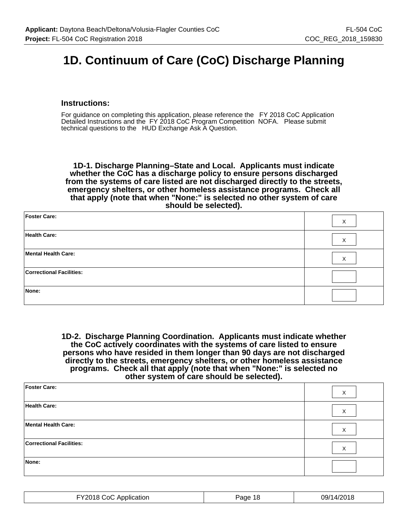# **1D. Continuum of Care (CoC) Discharge Planning**

#### **Instructions:**

For guidance on completing this application, please reference the FY 2018 CoC Application Detailed Instructions and the FY 2018 CoC Program Competition NOFA. Please submit technical questions to the HUD Exchange Ask A Question.

**1D-1. Discharge Planning–State and Local. Applicants must indicate whether the CoC has a discharge policy to ensure persons discharged from the systems of care listed are not discharged directly to the streets, emergency shelters, or other homeless assistance programs. Check all that apply (note that when "None:" is selected no other system of care should be selected).**

| Foster Care:                    | X |
|---------------------------------|---|
| Health Care:                    | X |
| Mental Health Care:             | X |
| <b>Correctional Facilities:</b> |   |
| None:                           |   |

**1D-2. Discharge Planning Coordination. Applicants must indicate whether the CoC actively coordinates with the systems of care listed to ensure persons who have resided in them longer than 90 days are not discharged directly to the streets, emergency shelters, or other homeless assistance programs. Check all that apply (note that when "None:" is selected no other system of care should be selected).**

| Foster Care:                    | X |
|---------------------------------|---|
| Health Care:                    | X |
| Mental Health Care:             | X |
| <b>Correctional Facilities:</b> | X |
| None:                           |   |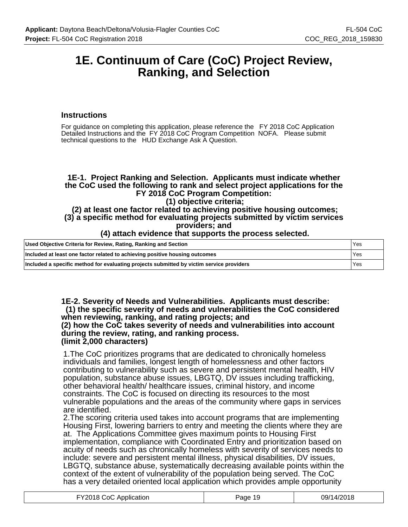## **1E. Continuum of Care (CoC) Project Review, Ranking, and Selection**

## **Instructions**

For guidance on completing this application, please reference the FY 2018 CoC Application Detailed Instructions and the FY 2018 CoC Program Competition NOFA. Please submit technical questions to the HUD Exchange Ask A Question.

## **1E-1. Project Ranking and Selection. Applicants must indicate whether the CoC used the following to rank and select project applications for the FY 2018 CoC Program Competition:**

#### **(1) objective criteria;**

#### **(2) at least one factor related to achieving positive housing outcomes; (3) a specific method for evaluating projects submitted by victim services providers; and**

## **(4) attach evidence that supports the process selected.**

| Used Objective Criteria for Review, Rating, Ranking and Section                          | l Yes |
|------------------------------------------------------------------------------------------|-------|
| Included at least one factor related to achieving positive housing outcomes              | l Yes |
| Included a specific method for evaluating projects submitted by victim service providers | l Yes |

**1E-2. Severity of Needs and Vulnerabilities. Applicants must describe: (1) the specific severity of needs and vulnerabilities the CoC considered when reviewing, ranking, and rating projects; and (2) how the CoC takes severity of needs and vulnerabilities into account during the review, rating, and ranking process.**

#### **(limit 2,000 characters)**

1.The CoC prioritizes programs that are dedicated to chronically homeless individuals and families, longest length of homelessness and other factors contributing to vulnerability such as severe and persistent mental health, HIV population, substance abuse issues, LBGTQ, DV issues including trafficking, other behavioral health/ healthcare issues, criminal history, and income constraints. The CoC is focused on directing its resources to the most vulnerable populations and the areas of the community where gaps in services are identified.

2.The scoring criteria used takes into account programs that are implementing Housing First, lowering barriers to entry and meeting the clients where they are at. The Applications Committee gives maximum points to Housing First implementation, compliance with Coordinated Entry and prioritization based on acuity of needs such as chronically homeless with severity of services needs to include: severe and persistent mental illness, physical disabilities, DV issues, LBGTQ, substance abuse, systematically decreasing available points within the context of the extent of vulnerability of the population being served. The CoC has a very detailed oriented local application which provides ample opportunity

| FY2018 CoC Application | Page 19 | 09/14/2018 |
|------------------------|---------|------------|
|------------------------|---------|------------|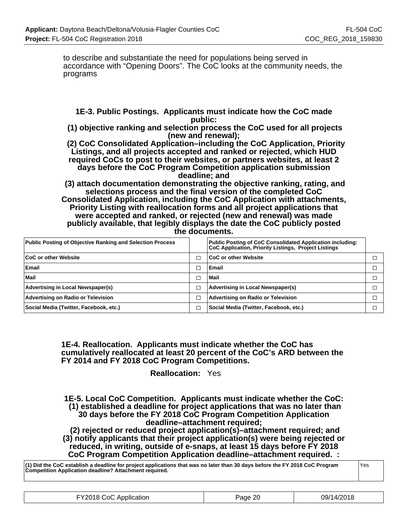to describe and substantiate the need for populations being served in accordance with "Opening Doors". The CoC looks at the community needs, the programs

## **1E-3. Public Postings. Applicants must indicate how the CoC made public:**

 **(1) objective ranking and selection process the CoC used for all projects (new and renewal);**

 **(2) CoC Consolidated Application–including the CoC Application, Priority Listings, and all projects accepted and ranked or rejected, which HUD required CoCs to post to their websites, or partners websites, at least 2 days before the CoC Program Competition application submission deadline; and**

 **(3) attach documentation demonstrating the objective ranking, rating, and selections process and the final version of the completed CoC Consolidated Application, including the CoC Application with attachments, Priority Listing with reallocation forms and all project applications that were accepted and ranked, or rejected (new and renewal) was made publicly available, that legibly displays the date the CoC publicly posted the documents.**

| <b>Public Posting of Objective Ranking and Selection Process</b> |        | <b>Public Posting of CoC Consolidated Application including:</b><br>CoC Application, Priority Listings, Project Listings |  |
|------------------------------------------------------------------|--------|--------------------------------------------------------------------------------------------------------------------------|--|
| <b>CoC or other Website</b>                                      | □      | <b>CoC or other Website</b>                                                                                              |  |
| Email                                                            | ┑      | Email                                                                                                                    |  |
| Mail                                                             | ⊡      | Mail                                                                                                                     |  |
| Advertising in Local Newspaper(s)                                | $\Box$ | Advertising in Local Newspaper(s)                                                                                        |  |
| Advertising on Radio or Television                               | $\Box$ | Advertising on Radio or Television                                                                                       |  |
| Social Media (Twitter, Facebook, etc.)                           | ▁      | Social Media (Twitter, Facebook, etc.)                                                                                   |  |

#### **1E-4. Reallocation. Applicants must indicate whether the CoC has cumulatively reallocated at least 20 percent of the CoC's ARD between the FY 2014 and FY 2018 CoC Program Competitions.**

**Reallocation:** Yes

**1E-5. Local CoC Competition. Applicants must indicate whether the CoC: (1) established a deadline for project applications that was no later than 30 days before the FY 2018 CoC Program Competition Application deadline–attachment required;**

 **(2) rejected or reduced project application(s)–attachment required; and (3) notify applicants that their project application(s) were being rejected or reduced, in writing, outside of e-snaps, at least 15 days before FY 2018 CoC Program Competition Application deadline–attachment required. :**

**(1) Did the CoC establish a deadline for project applications that was no later than 30 days before the FY 2018 CoC Program Competition Application deadline? Attachment required.** Yes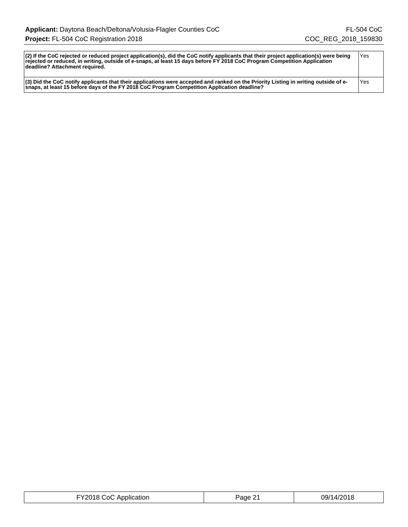| $ 2\rangle$ If the CoC rejected or reduced project application(s), did the CoC notify applicants that their project application(s) were being<br>rejected or reduced, in writing, outside of e-snaps, at least 15 days before FY 2018 CoC Program Competition Application<br>deadline? Attachment required. | 'Yes |
|-------------------------------------------------------------------------------------------------------------------------------------------------------------------------------------------------------------------------------------------------------------------------------------------------------------|------|
| $(3)$ Did the CoC notify applicants that their applications were accepted and ranked on the Priority Listing in writing outside of e-<br>snaps, at least 15 before days of the FY 2018 CoC Program Competition Application deadline?                                                                        | 'Yes |

| .പി<br>Application<br>____________<br>. | '2age' | 14/204<br>79/<br>. |
|-----------------------------------------|--------|--------------------|
|-----------------------------------------|--------|--------------------|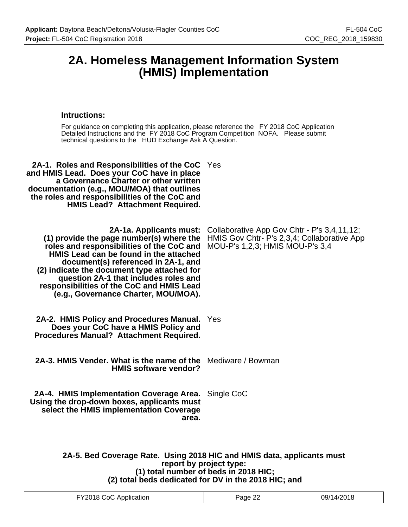## **2A. Homeless Management Information System (HMIS) Implementation**

#### **Intructions:**

For guidance on completing this application, please reference the FY 2018 CoC Application Detailed Instructions and the FY 2018 CoC Program Competition NOFA. Please submit technical questions to the HUD Exchange Ask A Question.

| <b>2A-1. Roles and Responsibilities of the CoC</b> Yes                                                                        |
|-------------------------------------------------------------------------------------------------------------------------------|
| Collaborative App Gov Chtr - P's 3,4,11,12;<br>HMIS Gov Chtr- P's 2,3,4; Collaborative App<br>MOU-P's 1,2,3; HMIS MOU-P's 3,4 |
| 2A-2. HMIS Policy and Procedures Manual.<br>Yes                                                                               |
| <b>2A-3. HMIS Vender, What is the name of the</b> Mediware / Bowman                                                           |
| Single CoC                                                                                                                    |
|                                                                                                                               |

**2A-5. Bed Coverage Rate. Using 2018 HIC and HMIS data, applicants must report by project type: (1) total number of beds in 2018 HIC; (2) total beds dedicated for DV in the 2018 HIC; and**

| $\mathbf{a}$ and $\mathbf{a}$ are assumed to the contract of the contract of the contract of the contract of the contract of the contract of the contract of the contract of the contract of the contract of the contract of the cont<br>FY2018<br>CoC.<br>C Application<br>. <del>. .</del> | $\sim$<br>Page . | 09/14/201ዖ<br>VIG. |
|----------------------------------------------------------------------------------------------------------------------------------------------------------------------------------------------------------------------------------------------------------------------------------------------|------------------|--------------------|
|----------------------------------------------------------------------------------------------------------------------------------------------------------------------------------------------------------------------------------------------------------------------------------------------|------------------|--------------------|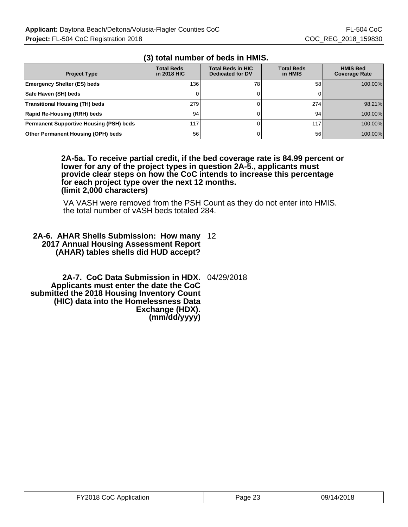| <b>Project Type</b>                            | <b>Total Beds</b><br>in 2018 HIC | <b>Total Beds in HIC</b><br><b>Dedicated for DV</b> | <b>Total Beds</b><br>in HMIS | <b>HMIS Bed</b><br><b>Coverage Rate</b> |
|------------------------------------------------|----------------------------------|-----------------------------------------------------|------------------------------|-----------------------------------------|
| <b>Emergency Shelter (ES) beds</b>             | 136                              | 78                                                  | 58                           | 100.00%                                 |
| Safe Haven (SH) beds                           | 0                                |                                                     |                              |                                         |
| <b>Transitional Housing (TH) beds</b>          | 279                              |                                                     | 274                          | 98.21%                                  |
| Rapid Re-Housing (RRH) beds                    | 94                               |                                                     | 94                           | 100.00%                                 |
| <b>Permanent Supportive Housing (PSH) beds</b> | 117                              |                                                     | 117                          | 100.00%                                 |
| Other Permanent Housing (OPH) beds             | 56                               |                                                     | 56                           | 100.00%                                 |

## **(3) total number of beds in HMIS.**

**2A-5a. To receive partial credit, if the bed coverage rate is 84.99 percent or lower for any of the project types in question 2A-5., applicants must provide clear steps on how the CoC intends to increase this percentage for each project type over the next 12 months. (limit 2,000 characters)**

VA VASH were removed from the PSH Count as they do not enter into HMIS. the total number of vASH beds totaled 284.

## **2A-6. AHAR Shells Submission: How many** 12 **2017 Annual Housing Assessment Report (AHAR) tables shells did HUD accept?**

**2A-7. CoC Data Submission in HDX.** 04/29/2018 **Applicants must enter the date the CoC submitted the 2018 Housing Inventory Count (HIC) data into the Homelessness Data Exchange (HDX). (mm/dd/yyyy)**

| FY2018 CoC Application | Page 23 | 09/14/2018 |
|------------------------|---------|------------|
|------------------------|---------|------------|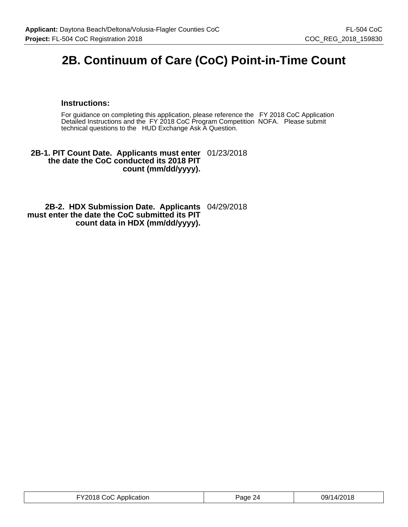# **2B. Continuum of Care (CoC) Point-in-Time Count**

#### **Instructions:**

For guidance on completing this application, please reference the FY 2018 CoC Application Detailed Instructions and the FY 2018 CoC Program Competition NOFA. Please submit technical questions to the HUD Exchange Ask A Question.

#### **2B-1. PIT Count Date. Applicants must enter** 01/23/2018 **the date the CoC conducted its 2018 PIT count (mm/dd/yyyy).**

#### **2B-2. HDX Submission Date. Applicants** 04/29/2018 **must enter the date the CoC submitted its PIT count data in HDX (mm/dd/yyyy).**

| FY2018 CoC Application | Page 24 | 09/14/2018 |
|------------------------|---------|------------|
|------------------------|---------|------------|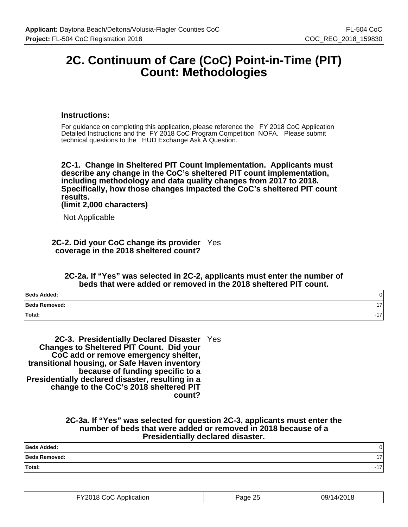## **2C. Continuum of Care (CoC) Point-in-Time (PIT) Count: Methodologies**

#### **Instructions:**

For guidance on completing this application, please reference the FY 2018 CoC Application Detailed Instructions and the FY 2018 CoC Program Competition NOFA. Please submit technical questions to the HUD Exchange Ask A Question.

**2C-1. Change in Sheltered PIT Count Implementation. Applicants must describe any change in the CoC's sheltered PIT count implementation, including methodology and data quality changes from 2017 to 2018. Specifically, how those changes impacted the CoC's sheltered PIT count results.**

**(limit 2,000 characters)**

Not Applicable

**2C-2. Did your CoC change its provider** Yes **coverage in the 2018 sheltered count?**

#### **2C-2a. If "Yes" was selected in 2C-2, applicants must enter the number of beds that were added or removed in the 2018 sheltered PIT count.**

| Beds Added:   |     |
|---------------|-----|
| Beds Removed: | . – |
| Total:        |     |

**2C-3. Presidentially Declared Disaster** Yes **Changes to Sheltered PIT Count. Did your CoC add or remove emergency shelter, transitional housing, or Safe Haven inventory because of funding specific to a Presidentially declared disaster, resulting in a change to the CoC's 2018 sheltered PIT count?**

#### **2C-3a. If "Yes" was selected for question 2C-3, applicants must enter the number of beds that were added or removed in 2018 because of a Presidentially declared disaster.**

| Beds Added:          |  |
|----------------------|--|
| <b>Beds Removed:</b> |  |
| Total:               |  |

| FY2018 CoC Application<br>. | -25<br>Page | 14/2018<br>09/1 |
|-----------------------------|-------------|-----------------|
|-----------------------------|-------------|-----------------|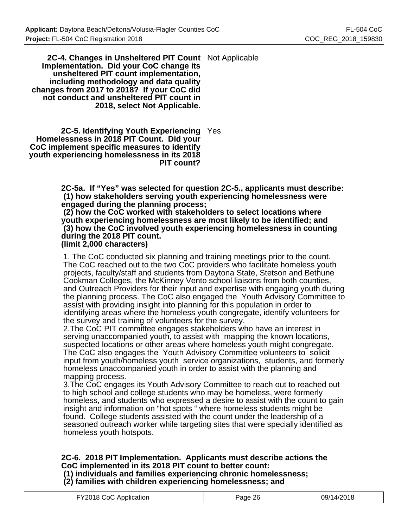**2C-4. Changes in Unsheltered PIT Count** Not Applicable **Implementation. Did your CoC change its unsheltered PIT count implementation, including methodology and data quality changes from 2017 to 2018? If your CoC did not conduct and unsheltered PIT count in 2018, select Not Applicable.**

**2C-5. Identifying Youth Experiencing** Yes **Homelessness in 2018 PIT Count. Did your CoC implement specific measures to identify youth experiencing homelessness in its 2018 PIT count?**

> **2C-5a. If "Yes" was selected for question 2C-5., applicants must describe: (1) how stakeholders serving youth experiencing homelessness were engaged during the planning process;**

 **(2) how the CoC worked with stakeholders to select locations where youth experiencing homelessness are most likely to be identified; and (3) how the CoC involved youth experiencing homelessness in counting during the 2018 PIT count.**

**(limit 2,000 characters)**

1. The CoC conducted six planning and training meetings prior to the count. The CoC reached out to the two CoC providers who facilitate homeless youth projects, faculty/staff and students from Daytona State, Stetson and Bethune Cookman Colleges, the McKinney Vento school liaisons from both counties, and Outreach Providers for their input and expertise with engaging youth during the planning process. The CoC also engaged the Youth Advisory Committee to assist with providing insight into planning for this population in order to identifying areas where the homeless youth congregate, identify volunteers for the survey and training of volunteers for the survey.

2.The CoC PIT committee engages stakeholders who have an interest in serving unaccompanied youth, to assist with mapping the known locations, suspected locations or other areas where homeless youth might congregate. The CoC also engages the Youth Advisory Committee volunteers to solicit input from youth/homeless youth service organizations, students, and formerly homeless unaccompanied youth in order to assist with the planning and mapping process.

3.The CoC engages its Youth Advisory Committee to reach out to reached out to high school and college students who may be homeless, were formerly homeless, and students who expressed a desire to assist with the count to gain insight and information on "hot spots " where homeless students might be found. College students assisted with the count under the leadership of a seasoned outreach worker while targeting sites that were specially identified as homeless youth hotspots.

## **2C-6. 2018 PIT Implementation. Applicants must describe actions the CoC implemented in its 2018 PIT count to better count:**

 **(1) individuals and families experiencing chronic homelessness; (2) families with children experiencing homelessness; and**

| FY2018 CoC Application<br>09/14/2018<br>Page 26 |
|-------------------------------------------------|
|-------------------------------------------------|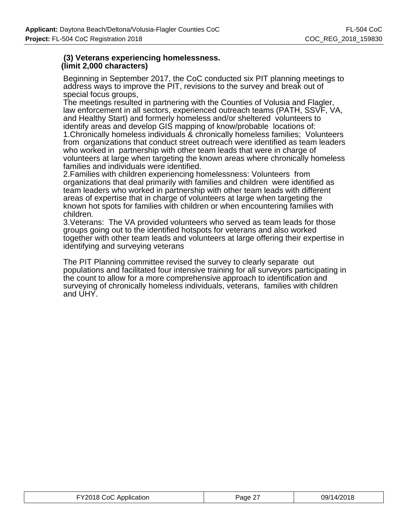## **(3) Veterans experiencing homelessness. (limit 2,000 characters)**

Beginning in September 2017, the CoC conducted six PIT planning meetings to address ways to improve the PIT, revisions to the survey and break out of special focus groups,

The meetings resulted in partnering with the Counties of Volusia and Flagler, law enforcement in all sectors, experienced outreach teams (PATH, SSVF, VA, and Healthy Start) and formerly homeless and/or sheltered volunteers to identify areas and develop GIS mapping of know/probable locations of: 1.Chronically homeless individuals & chronically homeless families; Volunteers from organizations that conduct street outreach were identified as team leaders who worked in partnership with other team leads that were in charge of volunteers at large when targeting the known areas where chronically homeless families and individuals were identified.

2.Families with children experiencing homelessness: Volunteers from organizations that deal primarily with families and children were identified as team leaders who worked in partnership with other team leads with different areas of expertise that in charge of volunteers at large when targeting the known hot spots for families with children or when encountering families with children.

3.Veterans: The VA provided volunteers who served as team leads for those groups going out to the identified hotspots for veterans and also worked together with other team leads and volunteers at large offering their expertise in identifying and surveying veterans

The PIT Planning committee revised the survey to clearly separate out populations and facilitated four intensive training for all surveyors participating in the count to allow for a more comprehensive approach to identification and surveying of chronically homeless individuals, veterans, families with children and UHY.

| FY2018 CoC Application | Page 27 | 09/14/2018 |
|------------------------|---------|------------|
|------------------------|---------|------------|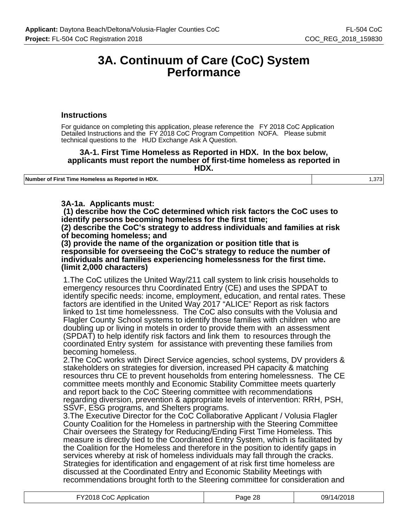## **3A. Continuum of Care (CoC) System Performance**

#### **Instructions**

For guidance on completing this application, please reference the FY 2018 CoC Application Detailed Instructions and the FY 2018 CoC Program Competition NOFA. Please submit technical questions to the HUD Exchange Ask A Question.

#### **3A-1. First Time Homeless as Reported in HDX. In the box below, applicants must report the number of first-time homeless as reported in HDX.**

**Number of First Time Homeless as Reported in HDX.** 1,373

## **3A-1a. Applicants must:**

 **(1) describe how the CoC determined which risk factors the CoC uses to identify persons becoming homeless for the first time;**

**(2) describe the CoC's strategy to address individuals and families at risk of becoming homeless; and**

**(3) provide the name of the organization or position title that is responsible for overseeing the CoC's strategy to reduce the number of individuals and families experiencing homelessness for the first time. (limit 2,000 characters)**

1.The CoC utilizes the United Way/211 call system to link crisis households to emergency resources thru Coordinated Entry (CE) and uses the SPDAT to identify specific needs: income, employment, education, and rental rates. These factors are identified in the United Way 2017 "ALICE" Report as risk factors linked to 1st time homelessness. The CoC also consults with the Volusia and Flagler County School systems to identify those families with children who are doubling up or living in motels in order to provide them with an assessment (SPDAT) to help identify risk factors and link them to resources through the coordinated Entry system for assistance with preventing these families from becoming homeless.

2.The CoC works with Direct Service agencies, school systems, DV providers & stakeholders on strategies for diversion, increased PH capacity & matching resources thru CE to prevent households from entering homelessness. The CE committee meets monthly and Economic Stability Committee meets quarterly and report back to the CoC Steering committee with recommendations regarding diversion, prevention & appropriate levels of intervention: RRH, PSH, SSVF, ESG programs, and Shelters programs.

3.The Executive Director for the CoC Collaborative Applicant / Volusia Flagler County Coalition for the Homeless in partnership with the Steering Committee Chair oversees the Strategy for Reducing/Ending First Time Homeless. This measure is directly tied to the Coordinated Entry System, which is facilitated by the Coalition for the Homeless and therefore in the position to identify gaps in services whereby at risk of homeless individuals may fall through the cracks. Strategies for identification and engagement of at risk first time homeless are discussed at the Coordinated Entry and Economic Stability Meetings with recommendations brought forth to the Steering committee for consideration and

| FY2018 CoC Application | Page 28 | 09/14/2018 |
|------------------------|---------|------------|
|------------------------|---------|------------|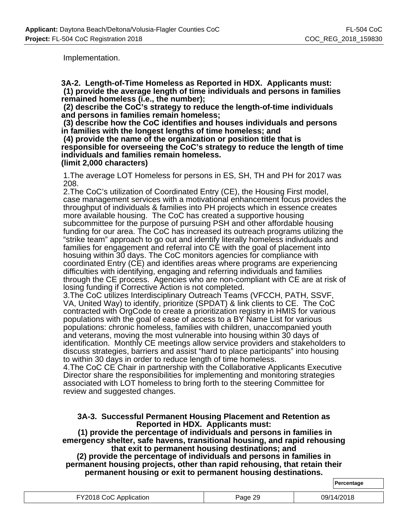**Percentage**

Implementation.

**3A-2. Length-of-Time Homeless as Reported in HDX. Applicants must: (1) provide the average length of time individuals and persons in families remained homeless (i.e., the number);**

 **(2) describe the CoC's strategy to reduce the length-of-time individuals and persons in families remain homeless;**

 **(3) describe how the CoC identifies and houses individuals and persons in families with the longest lengths of time homeless; and**

 **(4) provide the name of the organization or position title that is responsible for overseeing the CoC's strategy to reduce the length of time individuals and families remain homeless. (limit 2,000 characters)**

1.The average LOT Homeless for persons in ES, SH, TH and PH for 2017 was 208.

2.The CoC's utilization of Coordinated Entry (CE), the Housing First model, case management services with a motivational enhancement focus provides the throughput of individuals & families into PH projects which in essence creates more available housing. The CoC has created a supportive housing subcommittee for the purpose of pursuing PSH and other affordable housing funding for our area. The CoC has increased its outreach programs utilizing the "strike team" approach to go out and identify literally homeless individuals and families for engagement and referral into CE with the goal of placement into hosuing within 30 days. The CoC monitors agencies for compliance with coordinated Entry (CE) and identifies areas where programs are experiencing difficulties with identifying, engaging and referring individuals and families through the CE process. Agencies who are non-compliant with CE are at risk of losing funding if Corrective Action is not completed.

3.The CoC utilizes Interdisciplinary Outreach Teams (VFCCH, PATH, SSVF, VA, United Way) to identify, prioritize (SPDAT) & link clients to CE. The CoC contracted with OrgCode to create a prioritization registry in HMIS for various populations with the goal of ease of access to a BY Name List for various populations: chronic homeless, families with children, unaccompanied youth and veterans, moving the most vulnerable into housing within 30 days of identification. Monthly CE meetings allow service providers and stakeholders to discuss strategies, barriers and assist "hard to place participants" into housing to within 30 days in order to reduce length of time homeless.

4.The CoC CE Chair in partnership with the Collaborative Applicants Executive Director share the responsibilities for implementing and monitoring strategies associated with LOT homeless to bring forth to the steering Committee for review and suggested changes.

#### **3A-3. Successful Permanent Housing Placement and Retention as Reported in HDX. Applicants must:**

 **(1) provide the percentage of individuals and persons in families in emergency shelter, safe havens, transitional housing, and rapid rehousing that exit to permanent housing destinations; and**

**(2) provide the percentage of individuals and persons in families in permanent housing projects, other than rapid rehousing, that retain their permanent housing or exit to permanent housing destinations.**

| <b>FY2018 CoC Application</b> | Page 29 | 09/14/2018 |
|-------------------------------|---------|------------|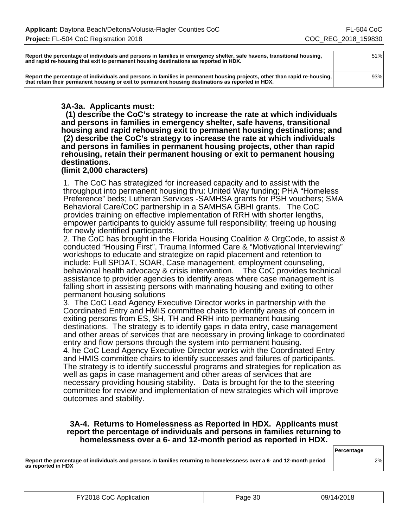| Report the percentage of individuals and persons in families in emergency shelter, safe havens, transitional housing,<br>and rapid re-housing that exit to permanent housing destinations as reported in HDX.                 | 51% |
|-------------------------------------------------------------------------------------------------------------------------------------------------------------------------------------------------------------------------------|-----|
| Report the percentage of individuals and persons in families in permanent housing projects, other than rapid re-housing,<br>that retain their permanent housing or exit to permanent housing destinations as reported in HDX. | 93% |

## **3A-3a. Applicants must:**

 **(1) describe the CoC's strategy to increase the rate at which individuals and persons in families in emergency shelter, safe havens, transitional housing and rapid rehousing exit to permanent housing destinations; and (2) describe the CoC's strategy to increase the rate at which individuals and persons in families in permanent housing projects, other than rapid rehousing, retain their permanent housing or exit to permanent housing destinations.**

#### **(limit 2,000 characters)**

1. The CoC has strategized for increased capacity and to assist with the throughput into permanent housing thru: United Way funding; PHA "Homeless Preference" beds; Lutheran Services -SAMHSA grants for PSH vouchers; SMA Behavioral Care/CoC partnership in a SAMHSA GBHI grants. The CoC provides training on effective implementation of RRH with shorter lengths, empower participants to quickly assume full responsibility; freeing up housing for newly identified participants.

2. The CoC has brought in the Florida Housing Coalition & OrgCode, to assist & conducted "Housing First", Trauma Informed Care & "Motivational Interviewing" workshops to educate and strategize on rapid placement and retention to include: Full SPDAT, SOAR, Case management, employment counseling, behavioral health advocacy & crisis intervention. The CoC provides technical assistance to provider agencies to identify areas where case management is falling short in assisting persons with marinating housing and exiting to other permanent housing solutions

3. The CoC Lead Agency Executive Director works in partnership with the Coordinated Entry and HMIS committee chairs to identify areas of concern in exiting persons from ES, SH, TH and RRH into permanent housing destinations. The strategy is to identify gaps in data entry, case management and other areas of services that are necessary in proving linkage to coordinated entry and flow persons through the system into permanent housing.

4. he CoC Lead Agency Executive Director works with the Coordinated Entry and HMIS committee chairs to identify successes and failures of participants. The strategy is to identify successful programs and strategies for replication as well as gaps in case management and other areas of services that are necessary providing housing stability. Data is brought for the to the steering committee for review and implementation of new strategies which will improve outcomes and stability.

#### **3A-4. Returns to Homelessness as Reported in HDX. Applicants must report the percentage of individuals and persons in families returning to homelessness over a 6- and 12-month period as reported in HDX.**

|                                                                                                                                            | <b>Percentage</b> |
|--------------------------------------------------------------------------------------------------------------------------------------------|-------------------|
| Report the percentage of individuals and persons in families returning to homelessness over a 6- and 12-month period<br>as reported in HDX | 2%                |

| FY2018 CoC Application | Page 30 | 09/14/2018 |
|------------------------|---------|------------|
|------------------------|---------|------------|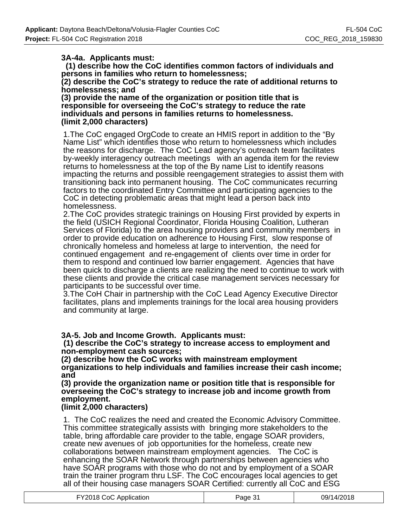## **3A-4a. Applicants must:**

 **(1) describe how the CoC identifies common factors of individuals and persons in families who return to homelessness;**

**(2) describe the CoC's strategy to reduce the rate of additional returns to homelessness; and**

**(3) provide the name of the organization or position title that is responsible for overseeing the CoC's strategy to reduce the rate individuals and persons in families returns to homelessness. (limit 2,000 characters)**

1.The CoC engaged OrgCode to create an HMIS report in addition to the "By Name List" which identifies those who return to homelessness which includes the reasons for discharge. The CoC Lead agency's outreach team facilitates by-weekly interagency outreach meetings with an agenda item for the review returns to homelessness at the top of the By name List to identify reasons impacting the returns and possible reengagement strategies to assist them with transitioning back into permanent housing. The CoC communicates recurring factors to the coordinated Entry Committee and participating agencies to the CoC in detecting problematic areas that might lead a person back into homelessness.

2.The CoC provides strategic trainings on Housing First provided by experts in the field (USICH Regional Coordinator, Florida Housing Coalition, Lutheran Services of Florida) to the area housing providers and community members in order to provide education on adherence to Housing First, slow response of chronically homeless and homeless at large to intervention, the need for continued engagement and re-engagement of clients over time in order for them to respond and continued low barrier engagement. Agencies that have been quick to discharge a clients are realizing the need to continue to work with these clients and provide the critical case management services necessary for participants to be successful over time.

3.The CoH Chair in partnership with the CoC Lead Agency Executive Director facilitates, plans and implements trainings for the local area housing providers and community at large.

**3A-5. Job and Income Growth. Applicants must:**

 **(1) describe the CoC's strategy to increase access to employment and non-employment cash sources;**

**(2) describe how the CoC works with mainstream employment organizations to help individuals and families increase their cash income; and**

**(3) provide the organization name or position title that is responsible for overseeing the CoC's strategy to increase job and income growth from employment.**

## **(limit 2,000 characters)**

1. The CoC realizes the need and created the Economic Advisory Committee. This committee strategically assists with bringing more stakeholders to the table, bring affordable care provider to the table, engage SOAR providers, create new avenues of job opportunities for the homeless, create new collaborations between mainstream employment agencies. The CoC is enhancing the SOAR Network through partnerships between agencies who have SOAR programs with those who do not and by employment of a SOAR train the trainer program thru LSF. The CoC encourages local agencies to get all of their housing case managers SOAR Certified: currently all CoC and ESG

| FY2018 CoC Application | Page 31 | 09/14/2018 |
|------------------------|---------|------------|
|------------------------|---------|------------|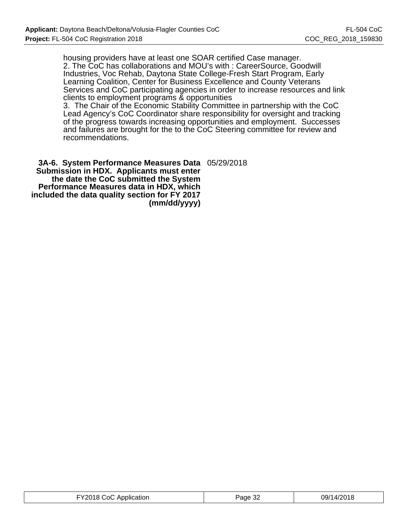housing providers have at least one SOAR certified Case manager. 2. The CoC has collaborations and MOU's with : CareerSource, Goodwill Industries, Voc Rehab, Daytona State College-Fresh Start Program, Early Learning Coalition, Center for Business Excellence and County Veterans Services and CoC participating agencies in order to increase resources and link clients to employment programs & opportunities

3. The Chair of the Economic Stability Committee in partnership with the CoC Lead Agency's CoC Coordinator share responsibility for oversight and tracking of the progress towards increasing opportunities and employment. Successes and failures are brought for the to the CoC Steering committee for review and recommendations.

**3A-6. System Performance Measures Data** 05/29/2018 **Submission in HDX. Applicants must enter the date the CoC submitted the System Performance Measures data in HDX, which included the data quality section for FY 2017 (mm/dd/yyyy)**

| FY2018 CoC Application | Page 32 | 09/14/2018 |
|------------------------|---------|------------|
|------------------------|---------|------------|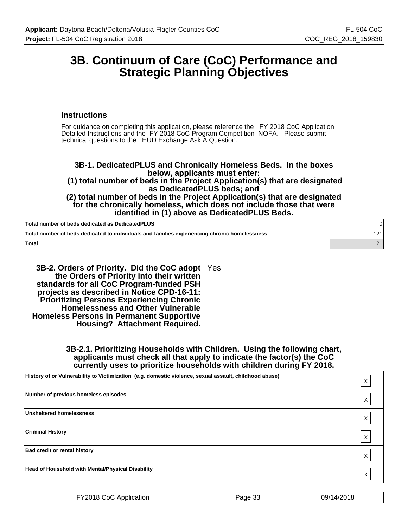## **3B. Continuum of Care (CoC) Performance and Strategic Planning Objectives**

#### **Instructions**

For guidance on completing this application, please reference the FY 2018 CoC Application Detailed Instructions and the FY 2018 CoC Program Competition NOFA. Please submit technical questions to the HUD Exchange Ask A Question.

## **3B-1. DedicatedPLUS and Chronically Homeless Beds. In the boxes below, applicants must enter:**

 **(1) total number of beds in the Project Application(s) that are designated as DedicatedPLUS beds; and**

**(2) total number of beds in the Project Application(s) that are designated for the chronically homeless, which does not include those that were identified in (1) above as DedicatedPLUS Beds.**

| Total number of beds dedicated as DedicatedPLUS                                              |     |
|----------------------------------------------------------------------------------------------|-----|
| Total number of beds dedicated to individuals and families experiencing chronic homelessness | 121 |
| ˈTotal                                                                                       | 121 |

**3B-2. Orders of Priority. Did the CoC adopt** Yes **the Orders of Priority into their written standards for all CoC Program-funded PSH projects as described in Notice CPD-16-11: Prioritizing Persons Experiencing Chronic Homelessness and Other Vulnerable Homeless Persons in Permanent Supportive Housing? Attachment Required.**

#### **3B-2.1. Prioritizing Households with Children. Using the following chart, applicants must check all that apply to indicate the factor(s) the CoC currently uses to prioritize households with children during FY 2018.**

| History of or Vulnerability to Victimization (e.g. domestic violence, sexual assault, childhood abuse) | X            |
|--------------------------------------------------------------------------------------------------------|--------------|
| Number of previous homeless episodes                                                                   | х            |
| <b>Unsheltered homelessness</b>                                                                        | Χ            |
| <b>Criminal History</b>                                                                                | Χ            |
| <b>Bad credit or rental history</b>                                                                    | Χ            |
| <b>Head of Household with Mental/Physical Disability</b>                                               | $\checkmark$ |

| FY2018 CoC Application | Page 33 | 09/14/2018 |
|------------------------|---------|------------|
|------------------------|---------|------------|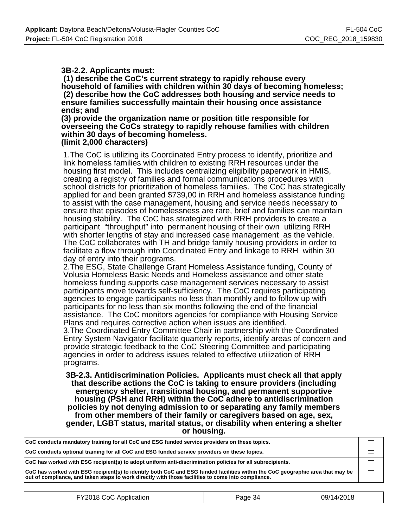#### **3B-2.2. Applicants must:**

 **(1) describe the CoC's current strategy to rapidly rehouse every household of families with children within 30 days of becoming homeless; (2) describe how the CoC addresses both housing and service needs to ensure families successfully maintain their housing once assistance ends; and**

**(3) provide the organization name or position title responsible for overseeing the CoCs strategy to rapidly rehouse families with children within 30 days of becoming homeless. (limit 2,000 characters)**

1.The CoC is utilizing its Coordinated Entry process to identify, prioritize and link homeless families with children to existing RRH resources under the housing first model. This includes centralizing eligibility paperwork in HMIS, creating a registry of families and formal communications procedures with school districts for prioritization of homeless families. The CoC has strategically applied for and been granted \$739,00 in RRH and homeless assistance funding to assist with the case management, housing and service needs necessary to ensure that episodes of homelessness are rare, brief and families can maintain housing stability. The CoC has strategized with RRH providers to create a participant "throughput" into permanent housing of their own utilizing RRH with shorter lengths of stay and increased case management as the vehicle. The CoC collaborates with TH and bridge family housing providers in order to facilitate a flow through into Coordinated Entry and linkage to RRH within 30 day of entry into their programs.

2.The ESG, State Challenge Grant Homeless Assistance funding, County of Volusia Homeless Basic Needs and Homeless assistance and other state homeless funding supports case management services necessary to assist participants move towards self-sufficiency. The CoC requires participating agencies to engage participants no less than monthly and to follow up with participants for no less than six months following the end of the financial assistance. The CoC monitors agencies for compliance with Housing Service Plans and requires corrective action when issues are identified. 3.The Coordinated Entry Committee Chair in partnership with the Coordinated

Entry System Navigator facilitate quarterly reports, identify areas of concern and provide strategic feedback to the CoC Steering Committee and participating agencies in order to address issues related to effective utilization of RRH programs.

**3B-2.3. Antidiscrimination Policies. Applicants must check all that apply that describe actions the CoC is taking to ensure providers (including emergency shelter, transitional housing, and permanent supportive housing (PSH and RRH) within the CoC adhere to antidiscrimination policies by not denying admission to or separating any family members from other members of their family or caregivers based on age, sex, gender, LGBT status, marital status, or disability when entering a shelter or housing.**

| CoC conducts mandatory training for all CoC and ESG funded service providers on these topics.                                                                                                                                        |  |
|--------------------------------------------------------------------------------------------------------------------------------------------------------------------------------------------------------------------------------------|--|
| CoC conducts optional training for all CoC and ESG funded service providers on these topics.                                                                                                                                         |  |
| CoC has worked with ESG recipient(s) to adopt uniform anti-discrimination policies for all subrecipients.                                                                                                                            |  |
| CoC has worked with ESG recipient(s) to identify both CoC and ESG funded facilities within the CoC geographic area that may be<br>out of compliance, and taken steps to work directly with those facilities to come into compliance. |  |

| FY2018 CoC Application | Page 34 | 09/14/2018 |
|------------------------|---------|------------|
|------------------------|---------|------------|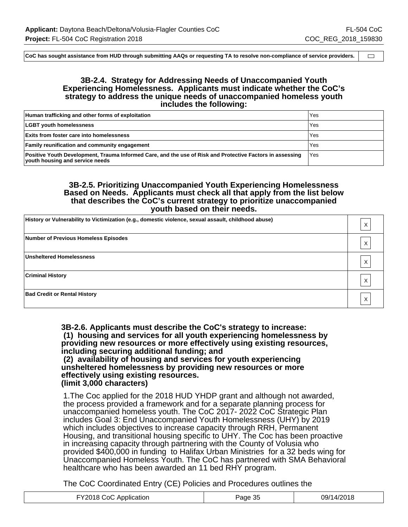$\qquad \qquad \Box$ 

**CoC has sought assistance from HUD through submitting AAQs or requesting TA to resolve non-compliance of service providers.**

#### **3B-2.4. Strategy for Addressing Needs of Unaccompanied Youth Experiencing Homelessness. Applicants must indicate whether the CoC's strategy to address the unique needs of unaccompanied homeless youth includes the following:**

| Human trafficking and other forms of exploitation                                                                                            | 'Yes  |
|----------------------------------------------------------------------------------------------------------------------------------------------|-------|
| <b>LGBT youth homelessness</b>                                                                                                               | Yes   |
| <b>Exits from foster care into homelessness</b>                                                                                              | Yes   |
| <b>Family reunification and community engagement</b>                                                                                         | Yes   |
| Positive Youth Development, Trauma Informed Care, and the use of Risk and Protective Factors in assessing<br>youth housing and service needs | l Yes |

#### **3B-2.5. Prioritizing Unaccompanied Youth Experiencing Homelessness Based on Needs. Applicants must check all that apply from the list below that describes the CoC's current strategy to prioritize unaccompanied youth based on their needs.**

| History or Vulnerability to Victimization (e.g., domestic violence, sexual assault, childhood abuse) |  |
|------------------------------------------------------------------------------------------------------|--|
| Number of Previous Homeless Episodes                                                                 |  |
| Unsheltered Homelessness                                                                             |  |
| <b>Criminal History</b>                                                                              |  |
| <b>Bad Credit or Rental History</b>                                                                  |  |

**3B-2.6. Applicants must describe the CoC's strategy to increase: (1) housing and services for all youth experiencing homelessness by providing new resources or more effectively using existing resources, including securing additional funding; and (2) availability of housing and services for youth experiencing unsheltered homelessness by providing new resources or more effectively using existing resources.**

#### **(limit 3,000 characters)**

1.The Coc applied for the 2018 HUD YHDP grant and although not awarded, the process provided a framework and for a separate planning process for unaccompanied homeless youth. The CoC 2017- 2022 CoC Strategic Plan includes Goal 3: End Unaccompanied Youth Homelessness (UHY) by 2019 which includes objectives to increase capacity through RRH, Permanent Housing, and transitional housing specific to UHY. The Coc has been proactive in increasing capacity through partnering with the County of Volusia who provided \$400,000 in funding to Halifax Urban Ministries for a 32 beds wing for Unaccompanied Homeless Youth. The CoC has partnered with SMA Behavioral healthcare who has been awarded an 11 bed RHY program.

The CoC Coordinated Entry (CE) Policies and Procedures outlines the

| 12018<br><br>$\sim$ $\sim$<br>Y2018 (<br>09/14/:<br>Page 3:<br>ാറി<br>Application<br>. |
|----------------------------------------------------------------------------------------|
|----------------------------------------------------------------------------------------|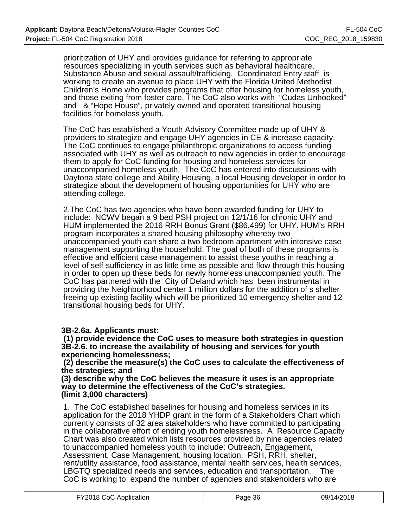prioritization of UHY and provides guidance for referring to appropriate resources specializing in youth services such as behavioral healthcare, Substance Abuse and sexual assault/trafficking. Coordinated Entry staff is working to create an avenue to place UHY with the Florida United Methodist Children's Home who provides programs that offer housing for homeless youth, and those exiting from foster care. The CoC also works with "Cudas Unhooked" and & "Hope House", privately owned and operated transitional housing facilities for homeless youth.

The CoC has established a Youth Advisory Committee made up of UHY & providers to strategize and engage UHY agencies in CE & increase capacity. The CoC continues to engage philanthropic organizations to access funding associated with UHY as well as outreach to new agencies in order to encourage them to apply for CoC funding for housing and homeless services for unaccompanied homeless youth. The CoC has entered into discussions with Daytona state college and Ability Housing, a local Housing developer in order to strategize about the development of housing opportunities for UHY who are attending college.

2.The CoC has two agencies who have been awarded funding for UHY to include: NCWV began a 9 bed PSH project on 12/1/16 for chronic UHY and HUM implemented the 2016 RRH Bonus Grant (\$86,499) for UHY. HUM's RRH program incorporates a shared housing philosophy whereby two unaccompanied youth can share a two bedroom apartment with intensive case management supporting the household. The goal of both of these programs is effective and efficient case management to assist these youths in reaching a level of self-sufficiency in as little time as possible and flow through this housing in order to open up these beds for newly homeless unaccompanied youth. The CoC has partnered with the City of Deland which has been instrumental in providing the Neighborhood center 1 million dollars for the addition of s shelter freeing up existing facility which will be prioritized 10 emergency shelter and 12 transitional housing beds for UHY.

**3B-2.6a. Applicants must:**

 **(1) provide evidence the CoC uses to measure both strategies in question 3B-2.6. to increase the availability of housing and services for youth experiencing homelessness;**

 **(2) describe the measure(s) the CoC uses to calculate the effectiveness of the strategies; and**

**(3) describe why the CoC believes the measure it uses is an appropriate way to determine the effectiveness of the CoC's strategies. (limit 3,000 characters)**

1. The CoC established baselines for housing and homeless services in its application for the 2018 YHDP grant in the form of a Stakeholders Chart which currently consists of 32 area stakeholders who have committed to participating in the collaborative effort of ending youth homelessness. A Resource Capacity Chart was also created which lists resources provided by nine agencies related to unaccompanied homeless youth to include: Outreach, Engagement, Assessment, Case Management, housing location, PSH, RRH, shelter, rent/utility assistance, food assistance, mental health services, health services, LBGTQ specialized needs and services, education and transportation. The CoC is working to expand the number of agencies and stakeholders who are

| FY2018 CoC Application | Page 36 | 09/14/2018 |
|------------------------|---------|------------|
|------------------------|---------|------------|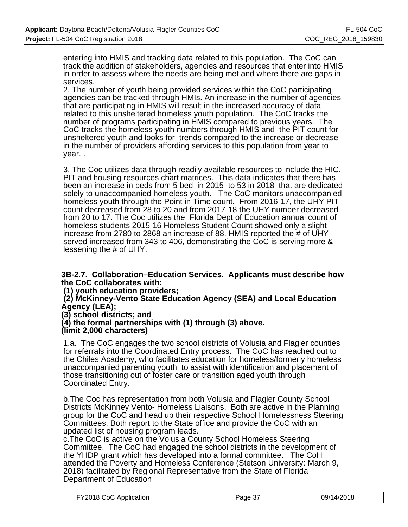entering into HMIS and tracking data related to this population. The CoC can track the addition of stakeholders, agencies and resources that enter into HMIS in order to assess where the needs are being met and where there are gaps in services.

2. The number of youth being provided services within the CoC participating agencies can be tracked through HMIs. An increase in the number of agencies that are participating in HMIS will result in the increased accuracy of data related to this unsheltered homeless youth population. The CoC tracks the number of programs participating in HMIS compared to previous years. The CoC tracks the homeless youth numbers through HMIS and the PIT count for unsheltered youth and looks for trends compared to the increase or decrease in the number of providers affording services to this population from year to year. .

3. The Coc utilizes data through readily available resources to include the HIC, PIT and housing resources chart matrices. This data indicates that there has been an increase in beds from 5 bed in 2015 to 53 in 2018 that are dedicated solely to unaccompanied homeless youth. The CoC monitors unaccompanied homeless youth through the Point in Time count. From 2016-17, the UHY PIT count decreased from 28 to 20 and from 2017-18 the UHY number decreased from 20 to 17. The Coc utilizes the Florida Dept of Education annual count of homeless students 2015-16 Homeless Student Count showed only a slight increase from 2780 to 2868 an increase of 88. HMIS reported the # of UHY served increased from 343 to 406, demonstrating the CoC is serving more & lessening the # of UHY.

#### **3B-2.7. Collaboration–Education Services. Applicants must describe how the CoC collaborates with:**

 **(1) youth education providers;**

 **(2) McKinney-Vento State Education Agency (SEA) and Local Education Agency (LEA);**

**(3) school districts; and**

**(4) the formal partnerships with (1) through (3) above.**

#### **(limit 2,000 characters)**

1.a. The CoC engages the two school districts of Volusia and Flagler counties for referrals into the Coordinated Entry process. The CoC has reached out to the Chiles Academy, who facilitates education for homeless/formerly homeless unaccompanied parenting youth to assist with identification and placement of those transitioning out of foster care or transition aged youth through Coordinated Entry.

b.The Coc has representation from both Volusia and Flagler County School Districts McKinney Vento- Homeless Liaisons. Both are active in the Planning group for the CoC and head up their respective School Homelessness Steering Committees. Both report to the State office and provide the CoC with an updated list of housing program leads.

c.The CoC is active on the Volusia County School Homeless Steering Committee. The CoC had engaged the school districts in the development of the YHDP grant which has developed into a formal committee. The CoH attended the Poverty and Homeless Conference (Stetson University: March 9, 2018) facilitated by Regional Representative from the State of Florida Department of Education

| FY2018 CoC Application | Page 37 | 09/14/2018 |
|------------------------|---------|------------|
|------------------------|---------|------------|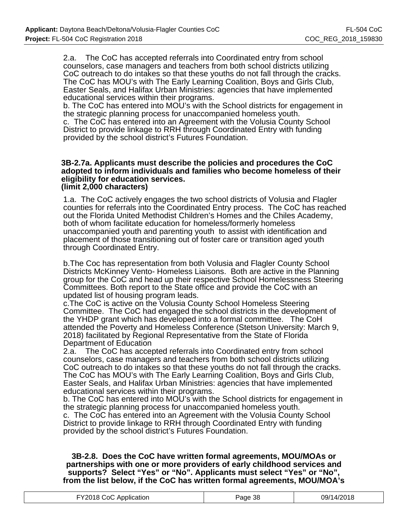2.a. The CoC has accepted referrals into Coordinated entry from school counselors, case managers and teachers from both school districts utilizing CoC outreach to do intakes so that these youths do not fall through the cracks. The CoC has MOU's with The Early Learning Coalition, Boys and Girls Club, Easter Seals, and Halifax Urban Ministries: agencies that have implemented educational services within their programs.

b. The CoC has entered into MOU's with the School districts for engagement in the strategic planning process for unaccompanied homeless youth.

c. The CoC has entered into an Agreement with the Volusia County School District to provide linkage to RRH through Coordinated Entry with funding provided by the school district's Futures Foundation.

#### **3B-2.7a. Applicants must describe the policies and procedures the CoC adopted to inform individuals and families who become homeless of their eligibility for education services. (limit 2,000 characters)**

1.a. The CoC actively engages the two school districts of Volusia and Flagler counties for referrals into the Coordinated Entry process. The CoC has reached out the Florida United Methodist Children's Homes and the Chiles Academy, both of whom facilitate education for homeless/formerly homeless unaccompanied youth and parenting youth to assist with identification and placement of those transitioning out of foster care or transition aged youth through Coordinated Entry.

b.The Coc has representation from both Volusia and Flagler County School Districts McKinney Vento- Homeless Liaisons. Both are active in the Planning group for the CoC and head up their respective School Homelessness Steering Committees. Both report to the State office and provide the CoC with an updated list of housing program leads.

c.The CoC is active on the Volusia County School Homeless Steering Committee. The CoC had engaged the school districts in the development of the YHDP grant which has developed into a formal committee. The CoH attended the Poverty and Homeless Conference (Stetson University: March 9, 2018) facilitated by Regional Representative from the State of Florida Department of Education

2.a. The CoC has accepted referrals into Coordinated entry from school counselors, case managers and teachers from both school districts utilizing CoC outreach to do intakes so that these youths do not fall through the cracks. The CoC has MOU's with The Early Learning Coalition, Boys and Girls Club, Easter Seals, and Halifax Urban Ministries: agencies that have implemented educational services within their programs.

b. The CoC has entered into MOU's with the School districts for engagement in the strategic planning process for unaccompanied homeless youth.

c. The CoC has entered into an Agreement with the Volusia County School District to provide linkage to RRH through Coordinated Entry with funding provided by the school district's Futures Foundation.

**3B-2.8. Does the CoC have written formal agreements, MOU/MOAs or partnerships with one or more providers of early childhood services and supports? Select "Yes" or "No". Applicants must select "Yes" or "No", from the list below, if the CoC has written formal agreements, MOU/MOA's**

| FY2018 CoC Application | Page 38 | 09/14/2018 |
|------------------------|---------|------------|
|                        |         |            |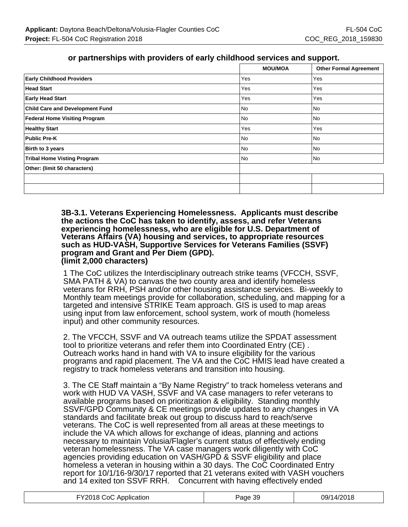## **or partnerships with providers of early childhood services and support.**

|                                        | <b>MOU/MOA</b> | <b>Other Formal Agreement</b> |
|----------------------------------------|----------------|-------------------------------|
| <b>Early Childhood Providers</b>       | Yes            | Yes                           |
| <b>Head Start</b>                      | Yes            | Yes                           |
| <b>Early Head Start</b>                | Yes            | Yes                           |
| <b>Child Care and Development Fund</b> | l No           | <b>No</b>                     |
| <b>Federal Home Visiting Program</b>   | l No           | No                            |
| <b>Healthy Start</b>                   | Yes            | Yes                           |
| <b>Public Pre-K</b>                    | No             | No                            |
| Birth to 3 years                       | No             | No                            |
| <b>Tribal Home Visting Program</b>     | No             | No                            |
| Other: (limit 50 characters)           |                |                               |
|                                        |                |                               |
|                                        |                |                               |

**3B-3.1. Veterans Experiencing Homelessness. Applicants must describe the actions the CoC has taken to identify, assess, and refer Veterans experiencing homelessness, who are eligible for U.S. Department of Veterans Affairs (VA) housing and services, to appropriate resources such as HUD-VASH, Supportive Services for Veterans Families (SSVF) program and Grant and Per Diem (GPD). (limit 2,000 characters)**

1 The CoC utilizes the Interdisciplinary outreach strike teams (VFCCH, SSVF, SMA PATH & VA) to canvas the two county area and identify homeless veterans for RRH, PSH and/or other housing assistance services. Bi-weekly to Monthly team meetings provide for collaboration, scheduling, and mapping for a targeted and intensive STRIKE Team approach. GIS is used to map areas using input from law enforcement, school system, work of mouth (homeless input) and other community resources.

2. The VFCCH, SSVF and VA outreach teams utilize the SPDAT assessment tool to prioritize veterans and refer them into Coordinated Entry (CE) . Outreach works hand in hand with VA to insure eligibility for the various programs and rapid placement. The VA and the CoC HMIS lead have created a registry to track homeless veterans and transition into housing.

3. The CE Staff maintain a "By Name Registry" to track homeless veterans and work with HUD VA VASH, SSVF and VA case managers to refer veterans to available programs based on prioritization & eligibility. Standing monthly SSVF/GPD Community & CE meetings provide updates to any changes in VA standards and facilitate break out group to discuss hard to reach/serve veterans. The CoC is well represented from all areas at these meetings to include the VA which allows for exchange of ideas, planning and actions necessary to maintain Volusia/Flagler's current status of effectively ending veteran homelessness. The VA case managers work diligently with CoC agencies providing education on VASH/GPD & SSVF eligibility and place homeless a veteran in housing within a 30 days. The CoC Coordinated Entry report for 10/1/16-9/30/17 reported that 21 veterans exited with VASH vouchers and 14 exited ton SSVF RRH. Concurrent with having effectively ended

| FY2018 CoC Application | Page 39 | 09/14/2018 |
|------------------------|---------|------------|
|------------------------|---------|------------|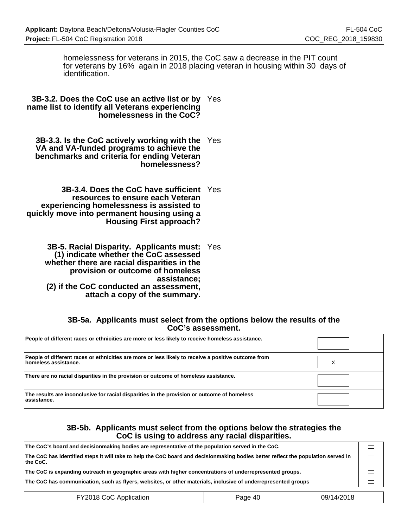homelessness for veterans in 2015, the CoC saw a decrease in the PIT count for veterans by 16% again in 2018 placing veteran in housing within 30 days of identification.

**3B-3.2. Does the CoC use an active list or by** Yes **name list to identify all Veterans experiencing homelessness in the CoC?**

**3B-3.3. Is the CoC actively working with the** Yes **VA and VA-funded programs to achieve the benchmarks and criteria for ending Veteran homelessness?**

**3B-3.4. Does the CoC have sufficient** Yes **resources to ensure each Veteran experiencing homelessness is assisted to quickly move into permanent housing using a Housing First approach?**

**3B-5. Racial Disparity. Applicants must:** Yes  **(1) indicate whether the CoC assessed whether there are racial disparities in the provision or outcome of homeless assistance; (2) if the CoC conducted an assessment, attach a copy of the summary.**

#### **3B-5a. Applicants must select from the options below the results of the CoC's assessment.**

| People of different races or ethnicities are more or less likely to receive homeless assistance.                                   |  |
|------------------------------------------------------------------------------------------------------------------------------------|--|
| People of different races or ethnicities are more or less likely to receive a positive outcome from<br><b>homeless assistance.</b> |  |
| There are no racial disparities in the provision or outcome of homeless assistance.                                                |  |
| The results are inconclusive for racial disparities in the provision or outcome of homeless<br>assistance.                         |  |

#### **3B-5b. Applicants must select from the options below the strategies the CoC is using to address any racial disparities.**

| The CoC's board and decisionmaking bodies are representative of the population served in the CoC.                                             |  |
|-----------------------------------------------------------------------------------------------------------------------------------------------|--|
| The CoC has identified steps it will take to help the CoC board and decisionmaking bodies better reflect the population served in<br>the CoC. |  |
| The CoC is expanding outreach in geographic areas with higher concentrations of underrepresented groups.                                      |  |
| The CoC has communication, such as flyers, websites, or other materials, inclusive of underrepresented groups                                 |  |
|                                                                                                                                               |  |

FY2018 CoC Application **Page 40** Page 40 09/14/2018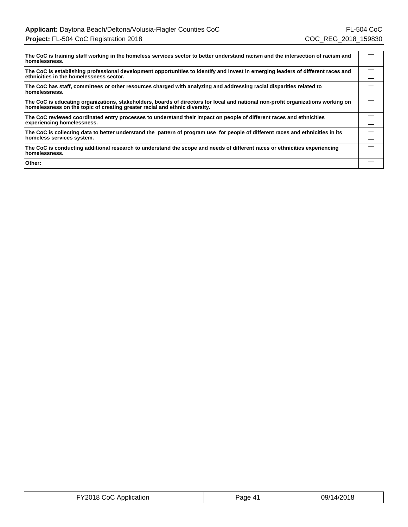| The CoC is training staff working in the homeless services sector to better understand racism and the intersection of racism and<br>homelessness.                                                              |  |
|----------------------------------------------------------------------------------------------------------------------------------------------------------------------------------------------------------------|--|
| The CoC is establishing professional development opportunities to identify and invest in emerging leaders of different races and<br>ethnicities in the homelessness sector.                                    |  |
| The CoC has staff, committees or other resources charged with analyzing and addressing racial disparities related to<br>homelessness.                                                                          |  |
| The CoC is educating organizations, stakeholders, boards of directors for local and national non-profit organizations working on<br>homelessness on the topic of creating greater racial and ethnic diversity. |  |
| The CoC reviewed coordinated entry processes to understand their impact on people of different races and ethnicities<br>experiencing homelessness.                                                             |  |
| The CoC is collecting data to better understand the pattern of program use for people of different races and ethnicities in its<br>homeless services system.                                                   |  |
| The CoC is conducting additional research to understand the scope and needs of different races or ethnicities experiencing<br>homelessness.                                                                    |  |
| Other:                                                                                                                                                                                                         |  |

| FY2018 CoC Application | Page 41 | 09/14/2018 |
|------------------------|---------|------------|
|------------------------|---------|------------|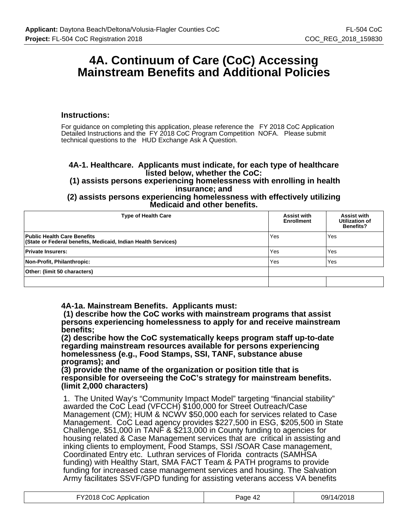## **4A. Continuum of Care (CoC) Accessing Mainstream Benefits and Additional Policies**

#### **Instructions:**

For guidance on completing this application, please reference the FY 2018 CoC Application Detailed Instructions and the FY 2018 CoC Program Competition NOFA. Please submit technical questions to the HUD Exchange Ask A Question.

#### **4A-1. Healthcare. Applicants must indicate, for each type of healthcare listed below, whether the CoC:**

 **(1) assists persons experiencing homelessness with enrolling in health insurance; and**

**(2) assists persons experiencing homelessness with effectively utilizing Medicaid and other benefits.**

| <b>Type of Health Care</b>                                                                   | <b>Assist with</b><br><b>Enrollment</b> | <b>Assist with</b><br>Utilization of<br><b>Benefits?</b> |
|----------------------------------------------------------------------------------------------|-----------------------------------------|----------------------------------------------------------|
| Public Health Care Benefits<br>(State or Federal benefits, Medicaid, Indian Health Services) | Yes                                     | Yes                                                      |
| Private Insurers:                                                                            | Yes                                     | Yes                                                      |
| Non-Profit, Philanthropic:                                                                   | Yes                                     | Yes                                                      |
| Other: (limit 50 characters)                                                                 |                                         |                                                          |
|                                                                                              |                                         |                                                          |

**4A-1a. Mainstream Benefits. Applicants must:**

 **(1) describe how the CoC works with mainstream programs that assist persons experiencing homelessness to apply for and receive mainstream benefits;**

**(2) describe how the CoC systematically keeps program staff up-to-date regarding mainstream resources available for persons experiencing homelessness (e.g., Food Stamps, SSI, TANF, substance abuse programs); and**

**(3) provide the name of the organization or position title that is responsible for overseeing the CoC's strategy for mainstream benefits. (limit 2,000 characters)**

1. The United Way's "Community Impact Model" targeting "financial stability" awarded the CoC Lead (VFCCH) \$100,000 for Street Outreach/Case Management (CM); HUM & NCWV \$50,000 each for services related to Case Management. CoC Lead agency provides \$227,500 in ESG, \$205,500 in State Challenge, \$51,000 in TANF & \$213,000 in County funding to agencies for housing related & Case Management services that are critical in assisting and inking clients to employment, Food Stamps, SSI /SOAR Case management, Coordinated Entry etc. Luthran services of Florida contracts (SAMHSA funding) with Healthy Start, SMA FACT Team & PATH programs to provide funding for increased case management services and housing. The Salvation Army facilitates SSVF/GPD funding for assisting veterans access VA benefits

| FY2018 CoC Application | Page 42 | 09/14/2018 |
|------------------------|---------|------------|
|------------------------|---------|------------|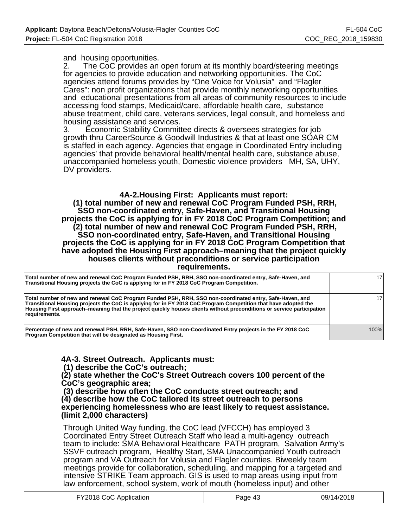#### and housing opportunities.

2. The CoC provides an open forum at its monthly board/steering meetings for agencies to provide education and networking opportunities. The CoC agencies attend forums provides by "One Voice for Volusia" and "Flagler Cares": non profit organizations that provide monthly networking opportunities and educational presentations from all areas of community resources to include accessing food stamps, Medicaid/care, affordable health care, substance abuse treatment, child care, veterans services, legal consult, and homeless and housing assistance and services.

3. Economic Stability Committee directs & oversees strategies for job growth thru CareerSource & Goodwill Industries & that at least one SOAR CM is staffed in each agency. Agencies that engage in Coordinated Entry including agencies' that provide behavioral health/mental health care, substance abuse, unaccompanied homeless youth, Domestic violence providers MH, SA, UHY, DV providers.

#### **4A-2.Housing First: Applicants must report:**

 **(1) total number of new and renewal CoC Program Funded PSH, RRH, SSO non-coordinated entry, Safe-Haven, and Transitional Housing projects the CoC is applying for in FY 2018 CoC Program Competition; and (2) total number of new and renewal CoC Program Funded PSH, RRH, SSO non-coordinated entry, Safe-Haven, and Transitional Housing projects the CoC is applying for in FY 2018 CoC Program Competition that have adopted the Housing First approach–meaning that the project quickly houses clients without preconditions or service participation requirements.**

| Total number of new and renewal CoC Program Funded PSH, RRH, SSO non-coordinated entry, Safe-Haven, and<br>Transitional Housing projects the CoC is applying for in FY 2018 CoC Program Competition.                                                                                                                                                                | 171  |
|---------------------------------------------------------------------------------------------------------------------------------------------------------------------------------------------------------------------------------------------------------------------------------------------------------------------------------------------------------------------|------|
| Total number of new and renewal CoC Program Funded PSH, RRH, SSO non-coordinated entry, Safe-Haven, and<br>Transitional Housing projects the CoC is applying for in FY 2018 CoC Program Competition that have adopted the<br>Housing First approach–meaning that the project quickly houses clients without preconditions or service participation<br>requirements. | 171  |
| Percentage of new and renewal PSH, RRH, Safe-Haven, SSO non-Coordinated Entry projects in the FY 2018 CoC<br><b>Program Competition that will be designated as Housing First.</b>                                                                                                                                                                                   | 100% |

**4A-3. Street Outreach. Applicants must:**

 **(1) describe the CoC's outreach;**

**(2) state whether the CoC's Street Outreach covers 100 percent of the CoC's geographic area;**

 **(3) describe how often the CoC conducts street outreach; and (4) describe how the CoC tailored its street outreach to persons experiencing homelessness who are least likely to request assistance. (limit 2,000 characters)**

Through United Way funding, the CoC lead (VFCCH) has employed 3 Coordinated Entry Street Outreach Staff who lead a multi-agency outreach team to include: SMA Behavioral Healthcare PATH program, Salvation Army's SSVF outreach program, Healthy Start, SMA Unaccompanied Youth outreach program and VA Outreach for Volusia and Flagler counties. Biweekly team meetings provide for collaboration, scheduling, and mapping for a targeted and intensive STRIKE Team approach. GIS is used to map areas using input from law enforcement, school system, work of mouth (homeless input) and other

| FY2018 CoC Application | Page 43 | 09/14/2018 |
|------------------------|---------|------------|
|------------------------|---------|------------|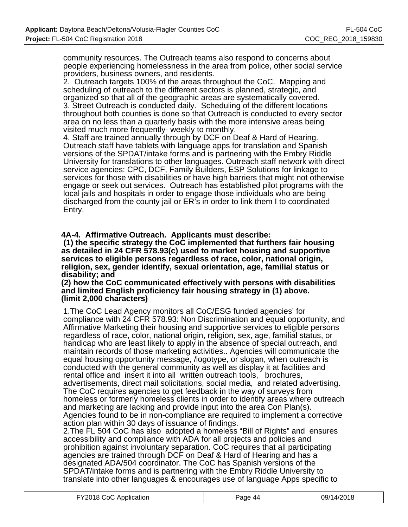community resources. The Outreach teams also respond to concerns about people experiencing homelessness in the area from police, other social service providers, business owners, and residents.

2. Outreach targets 100% of the areas throughout the CoC. Mapping and scheduling of outreach to the different sectors is planned, strategic, and organized so that all of the geographic areas are systematically covered. 3. Street Outreach is conducted daily. Scheduling of the different locations throughout both counties is done so that Outreach is conducted to every sector area on no less than a quarterly basis with the more intensive areas being visited much more frequently- weekly to monthly.

4. Staff are trained annually through by DCF on Deaf & Hard of Hearing. Outreach staff have tablets with language apps for translation and Spanish versions of the SPDAT/intake forms and is partnering with the Embry Riddle University for translations to other languages. Outreach staff network with direct service agencies: CPC, DCF, Family Builders, ESP Solutions for linkage to services for those with disabilities or have high barriers that might not otherwise engage or seek out services. Outreach has established pilot programs with the local jails and hospitals in order to engage those individuals who are being discharged from the county jail or ER's in order to link them I to coordinated Entry.

**4A-4. Affirmative Outreach. Applicants must describe:**

 **(1) the specific strategy the CoC implemented that furthers fair housing as detailed in 24 CFR 578.93(c) used to market housing and supportive services to eligible persons regardless of race, color, national origin, religion, sex, gender identify, sexual orientation, age, familial status or disability; and**

#### **(2) how the CoC communicated effectively with persons with disabilities and limited English proficiency fair housing strategy in (1) above. (limit 2,000 characters)**

1.The CoC Lead Agency monitors all CoC/ESG funded agencies' for compliance with 24 CFR 578.93: Non Discrimination and equal opportunity, and Affirmative Marketing their housing and supportive services to eligible persons regardless of race, color, national origin, religion, sex, age, familial status, or handicap who are least likely to apply in the absence of special outreach, and maintain records of those marketing activities.. Agencies will communicate the equal housing opportunity message, /logotype, or slogan, when outreach is conducted with the general community as well as display it at facilities and rental office and insert it into all written outreach tools, brochures, advertisements, direct mail solicitations, social media, and related advertising. The CoC requires agencies to get feedback in the way of surveys from homeless or formerly homeless clients in order to identify areas where outreach and marketing are lacking and provide input into the area Con Plan(s). Agencies found to be in non-compliance are required to implement a corrective action plan within 30 days of issuance of findings.

2.The FL 504 CoC has also adopted a homeless "Bill of Rights" and ensures accessibility and compliance with ADA for all projects and policies and prohibition against involuntary separation. CoC requires that all participating agencies are trained through DCF on Deaf & Hard of Hearing and has a designated ADA/504 coordinator. The CoC has Spanish versions of the SPDAT/intake forms and is partnering with the Embry Riddle University to translate into other languages & encourages use of language Apps specific to

| FY2018 CoC Application | Page 44 | 09/14/2018 |
|------------------------|---------|------------|
|------------------------|---------|------------|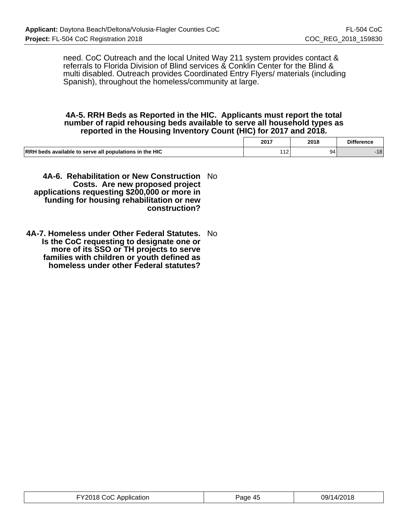need. CoC Outreach and the local United Way 211 system provides contact & referrals to Florida Division of Blind services & Conklin Center for the Blind & multi disabled. Outreach provides Coordinated Entry Flyers/ materials (including Spanish), throughout the homeless/community at large.

#### **4A-5. RRH Beds as Reported in the HIC. Applicants must report the total number of rapid rehousing beds available to serve all household types as reported in the Housing Inventory Count (HIC) for 2017 and 2018.**

|                                                        | 2017 | 2018 | <b>Difference</b> |
|--------------------------------------------------------|------|------|-------------------|
| RRH beds available to serve all populations in the HIC | 12   | 94   | 10<br>- 10        |

**4A-6. Rehabilitation or New Construction** No **Costs. Are new proposed project applications requesting \$200,000 or more in funding for housing rehabilitation or new construction?**

**4A-7. Homeless under Other Federal Statutes.** No **Is the CoC requesting to designate one or more of its SSO or TH projects to serve families with children or youth defined as homeless under other Federal statutes?**

| FY2018 CoC Application | 09/14/2018 |
|------------------------|------------|
| Page 45                | .          |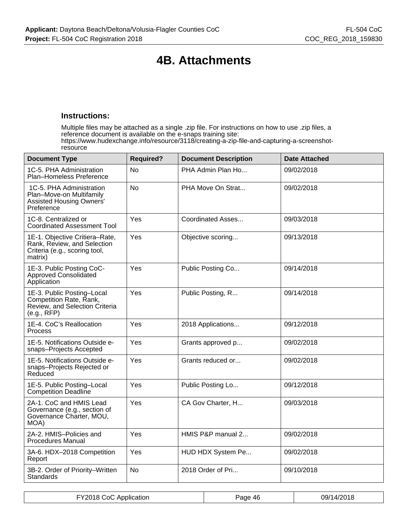# **4B. Attachments**

#### **Instructions:**

Multiple files may be attached as a single .zip file. For instructions on how to use .zip files, a reference document is available on the e-snaps training site: https://www.hudexchange.info/resource/3118/creating-a-zip-file-and-capturing-a-screenshotresource

| <b>Document Type</b>                                                                                      | <b>Required?</b> | <b>Document Description</b> | <b>Date Attached</b> |
|-----------------------------------------------------------------------------------------------------------|------------------|-----------------------------|----------------------|
| 1C-5. PHA Administration<br>Plan-Homeless Preference                                                      | <b>No</b>        | PHA Admin Plan Ho           | 09/02/2018           |
| 1C-5. PHA Administration<br>Plan-Move-on Multifamily<br><b>Assisted Housing Owners'</b><br>Preference     | <b>No</b>        | PHA Move On Strat           | 09/02/2018           |
| 1C-8. Centralized or<br><b>Coordinated Assessment Tool</b>                                                | Yes              | Coordinated Asses           | 09/03/2018           |
| 1E-1. Objective Critiera-Rate,<br>Rank, Review, and Selection<br>Criteria (e.g., scoring tool,<br>matrix) | Yes              | Objective scoring           | 09/13/2018           |
| 1E-3. Public Posting CoC-<br><b>Approved Consolidated</b><br>Application                                  | Yes              | Public Posting Co           | 09/14/2018           |
| 1E-3. Public Posting-Local<br>Competition Rate, Rank,<br>Review, and Selection Criteria<br>(e.g., RFP)    | Yes              | Public Posting, R           | 09/14/2018           |
| 1E-4. CoC's Reallocation<br>Process                                                                       | Yes              | 2018 Applications           | 09/12/2018           |
| 1E-5. Notifications Outside e-<br>snaps-Projects Accepted                                                 | Yes              | Grants approved p           | 09/02/2018           |
| 1E-5. Notifications Outside e-<br>snaps-Projects Rejected or<br>Reduced                                   | Yes              | Grants reduced or           | 09/02/2018           |
| 1E-5. Public Posting-Local<br><b>Competition Deadline</b>                                                 | Yes              | Public Posting Lo           | 09/12/2018           |
| 2A-1. CoC and HMIS Lead<br>Governance (e.g., section of<br>Governance Charter, MOU,<br>MOA)               | Yes              | CA Gov Charter, H           | 09/03/2018           |
| 2A-2. HMIS-Policies and<br><b>Procedures Manual</b>                                                       | Yes              | HMIS P&P manual 2           | 09/02/2018           |
| 3A-6. HDX-2018 Competition<br>Report                                                                      | Yes              | HUD HDX System Pe           | 09/02/2018           |
| 3B-2. Order of Priority-Written<br>Standards                                                              | No               | 2018 Order of Pri           | 09/10/2018           |

|  | FY2018 CoC Application | Page 46 | 09/14/2018 |
|--|------------------------|---------|------------|
|--|------------------------|---------|------------|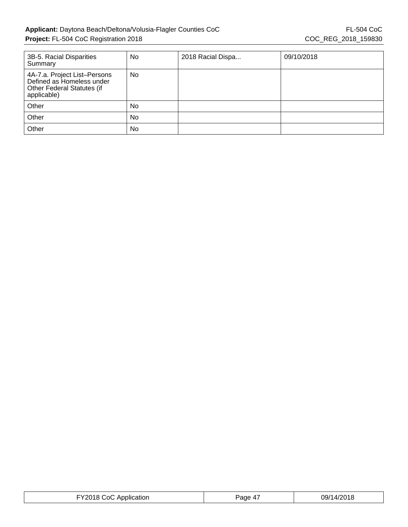| 3B-5. Racial Disparities<br>Summary                                                                    | No | 2018 Racial Dispa | 09/10/2018 |
|--------------------------------------------------------------------------------------------------------|----|-------------------|------------|
| 4A-7.a. Project List-Persons<br>Defined as Homeless under<br>Other Federal Statutes (if<br>applicable) | No |                   |            |
| Other                                                                                                  | No |                   |            |
| Other                                                                                                  | No |                   |            |
| Other                                                                                                  | No |                   |            |

| FY2018 CoC Application | Page 47 | 09/14/2018 |
|------------------------|---------|------------|
|------------------------|---------|------------|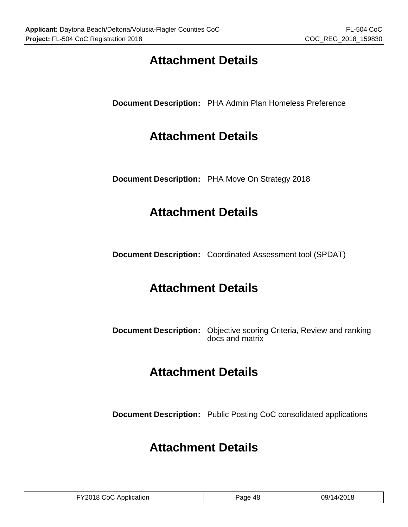# **Attachment Details**

**Document Description:** PHA Admin Plan Homeless Preference

# **Attachment Details**

**Document Description:** PHA Move On Strategy 2018

# **Attachment Details**

**Document Description:** Coordinated Assessment tool (SPDAT)

# **Attachment Details**

**Document Description:** Objective scoring Criteria, Review and ranking docs and matrix

# **Attachment Details**

**Document Description:** Public Posting CoC consolidated applications

# **Attachment Details**

| FY2018 CoC Application | Page 48 | 09/14/2018 |
|------------------------|---------|------------|
|------------------------|---------|------------|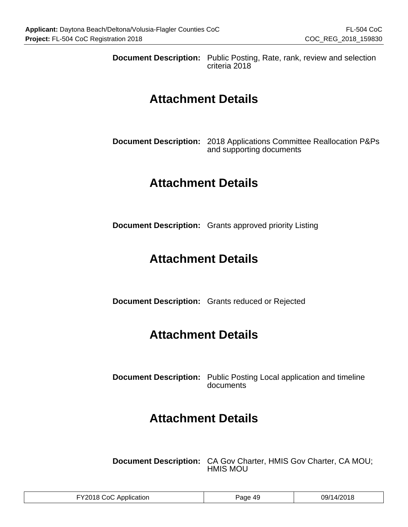**Document Description:** Public Posting, Rate, rank, review and selection criteria 2018

## **Attachment Details**

**Document Description:** 2018 Applications Committee Reallocation P&Ps and supporting documents

## **Attachment Details**

**Document Description:** Grants approved priority Listing

## **Attachment Details**

**Document Description:** Grants reduced or Rejected

# **Attachment Details**

**Document Description:** Public Posting Local application and timeline documents

# **Attachment Details**

**Document Description:** CA Gov Charter, HMIS Gov Charter, CA MOU; HMIS MOU

| FY2018 CoC Application | Page 49 | 09/14/2018 |
|------------------------|---------|------------|
|------------------------|---------|------------|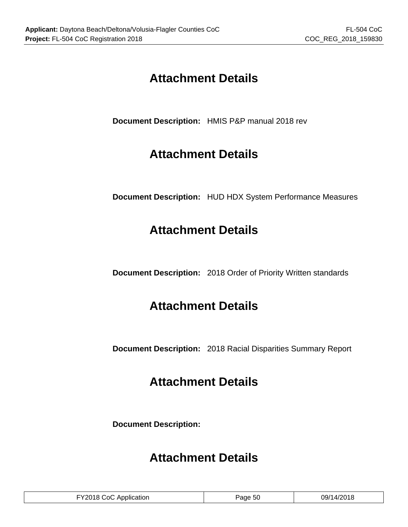# **Attachment Details**

**Document Description:** HMIS P&P manual 2018 rev

# **Attachment Details**

**Document Description:** HUD HDX System Performance Measures

# **Attachment Details**

**Document Description:** 2018 Order of Priority Written standards

# **Attachment Details**

**Document Description:** 2018 Racial Disparities Summary Report

# **Attachment Details**

**Document Description:**

# **Attachment Details**

| FY2018 CoC Application | Page 50 | 09/14/2018 |
|------------------------|---------|------------|
|------------------------|---------|------------|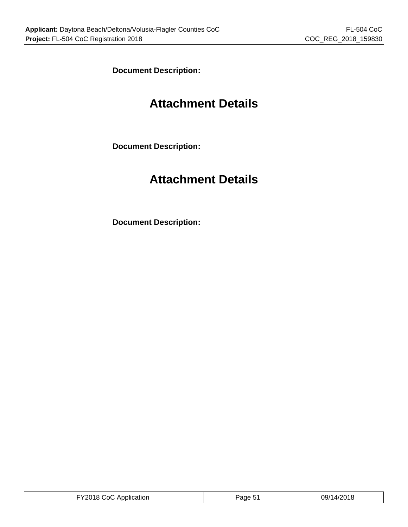**Document Description:**

# **Attachment Details**

**Document Description:**

# **Attachment Details**

**Document Description:**

| FY2018 CoC Application<br>Page 5 | 09/14/2018 |
|----------------------------------|------------|
|----------------------------------|------------|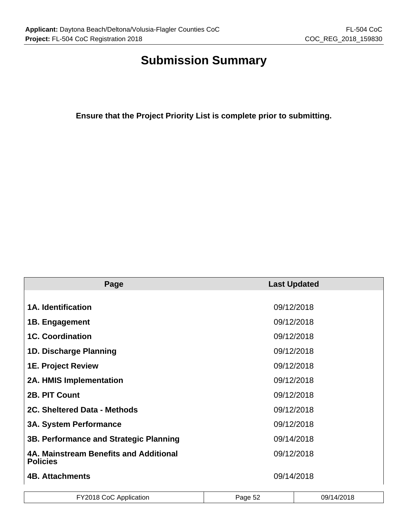# **Submission Summary**

**Ensure that the Project Priority List is complete prior to submitting.**

| Page                                                      | <b>Last Updated</b> |
|-----------------------------------------------------------|---------------------|
|                                                           |                     |
| <b>1A. Identification</b>                                 | 09/12/2018          |
| 1B. Engagement                                            | 09/12/2018          |
| <b>1C. Coordination</b>                                   | 09/12/2018          |
| 1D. Discharge Planning                                    | 09/12/2018          |
| <b>1E. Project Review</b>                                 | 09/12/2018          |
| 2A. HMIS Implementation                                   | 09/12/2018          |
| 2B. PIT Count                                             | 09/12/2018          |
| 2C. Sheltered Data - Methods                              | 09/12/2018          |
| <b>3A. System Performance</b>                             | 09/12/2018          |
| 3B. Performance and Strategic Planning                    | 09/14/2018          |
| 4A. Mainstream Benefits and Additional<br><b>Policies</b> | 09/12/2018          |
| <b>4B. Attachments</b>                                    | 09/14/2018          |

| FY2018 CoC Application | Page 52 | 09/14/2018 |
|------------------------|---------|------------|
|                        |         |            |